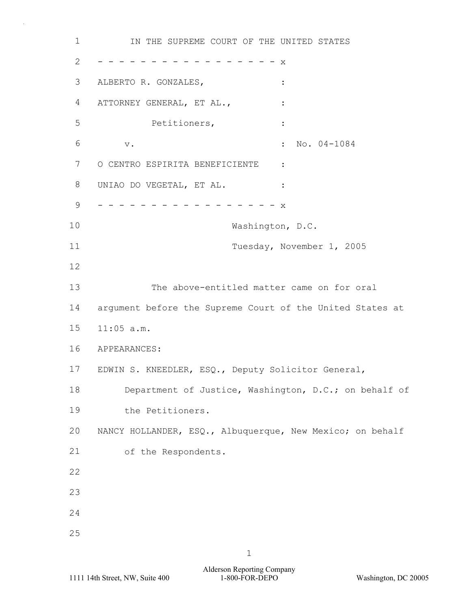1 **IN THE SUPREME COURT OF THE UNITED STATES** 2 - - - - - - - - - - - - - - - - x 3 ALBERTO R. GONZALES,  $\qquad \qquad :$ 4 ATTORNEY GENERAL, ET AL.,  $\cdot$  : 5 Petitioners, : 6 v. : No. 04-1084 7 O CENTRO ESPIRITA BENEFICIENTE : 8 UNIAO DO VEGETAL, ET AL. : 9 - - - - - - - - - - - - - - - - - x 10 Washington, D.C. 11 Tuesday, November 1, 2005 12 13 The above-entitled matter came on for oral 14 argument before the Supreme Court of the United States at 15 11:05 a.m. 16 APPEARANCES: 17 EDWIN S. KNEEDLER, ESQ., Deputy Solicitor General, 18 Department of Justice, Washington, D.C.; on behalf of 19 the Petitioners. 20 NANCY HOLLANDER, ESQ., Albuquerque, New Mexico; on behalf 21 of the Respondents. 22 23 24 25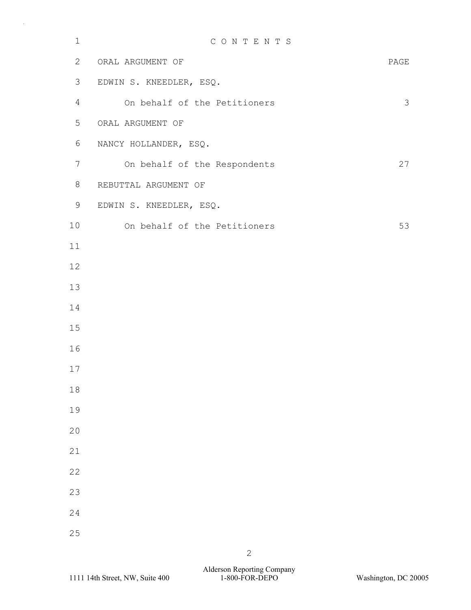| $\mathbf 1$ | CONTENTS                     |      |
|-------------|------------------------------|------|
| 2           | ORAL ARGUMENT OF             | PAGE |
| 3           | EDWIN S. KNEEDLER, ESQ.      |      |
| 4           | On behalf of the Petitioners | 3    |
| 5           | ORAL ARGUMENT OF             |      |
| 6           | NANCY HOLLANDER, ESQ.        |      |
| 7           | On behalf of the Respondents | 27   |
| 8           | REBUTTAL ARGUMENT OF         |      |
| 9           | EDWIN S. KNEEDLER, ESQ.      |      |
| 10          | On behalf of the Petitioners | 53   |
| 11          |                              |      |
| 12          |                              |      |
| 13          |                              |      |
| 14          |                              |      |
| 15          |                              |      |
| 16          |                              |      |
| 17          |                              |      |
| 18          |                              |      |
| 19          |                              |      |
| 20          |                              |      |
| 21          |                              |      |
| 22          |                              |      |
| 23          |                              |      |
| 24          |                              |      |
| 25          |                              |      |
|             |                              |      |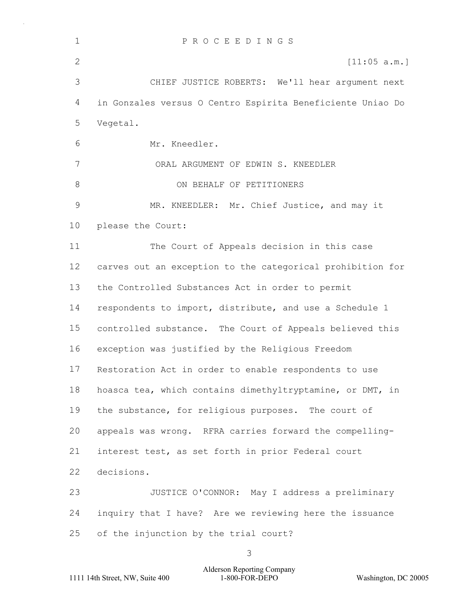| $\mathbf{1}$ | PROCEEDINGS                                                |  |
|--------------|------------------------------------------------------------|--|
| 2            | [11:05 a.m.]                                               |  |
| 3            | CHIEF JUSTICE ROBERTS: We'll hear argument next            |  |
| 4            | in Gonzales versus O Centro Espirita Beneficiente Uniao Do |  |
| 5            | Vegetal.                                                   |  |
| 6            | Mr. Kneedler.                                              |  |
| 7            | ORAL ARGUMENT OF EDWIN S. KNEEDLER                         |  |
| 8            | ON BEHALF OF PETITIONERS                                   |  |
| 9            | MR. KNEEDLER: Mr. Chief Justice, and may it                |  |
| 10           | please the Court:                                          |  |
| 11           | The Court of Appeals decision in this case                 |  |
| 12           | carves out an exception to the categorical prohibition for |  |
| 13           | the Controlled Substances Act in order to permit           |  |
| 14           | respondents to import, distribute, and use a Schedule 1    |  |
| 15           | controlled substance. The Court of Appeals believed this   |  |
| 16           | exception was justified by the Religious Freedom           |  |
| 17           | Restoration Act in order to enable respondents to use      |  |
| 18           | hoasca tea, which contains dimethyltryptamine, or DMT, in  |  |
| 19           | the substance, for religious purposes. The court of        |  |
| 20           | appeals was wrong. RFRA carries forward the compelling-    |  |
| 21           | interest test, as set forth in prior Federal court         |  |
| 22           | decisions.                                                 |  |
| 23           | JUSTICE O'CONNOR: May I address a preliminary              |  |
| 24           | inquiry that I have? Are we reviewing here the issuance    |  |
| 25           | of the injunction by the trial court?                      |  |
|              | 3                                                          |  |

Alderson Reporting Company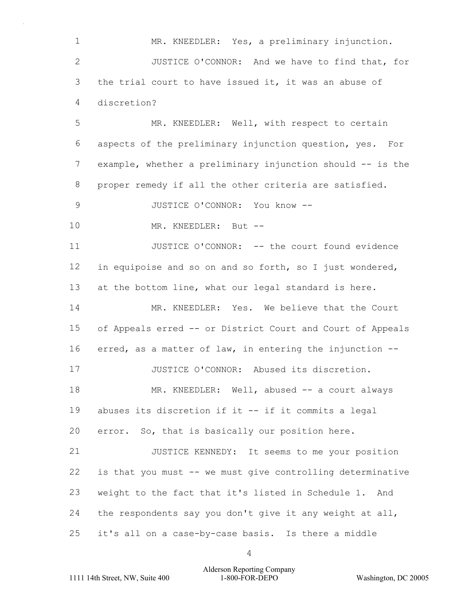1 MR. KNEEDLER: Yes, a preliminary injunction. 2 JUSTICE O'CONNOR: And we have to find that, for 3 the trial court to have issued it, it was an abuse of 4 discretion?

5 MR. KNEEDLER: Well, with respect to certain 6 aspects of the preliminary injunction question, yes. For 7 example, whether a preliminary injunction should -- is the 8 proper remedy if all the other criteria are satisfied.

9 JUSTICE O'CONNOR: You know --

10 MR. KNEEDLER: But --

11 JUSTICE O'CONNOR: -- the court found evidence 12 in equipoise and so on and so forth, so I just wondered, 13 at the bottom line, what our legal standard is here.

14 MR. KNEEDLER: Yes. We believe that the Court 15 of Appeals erred -- or District Court and Court of Appeals 16 erred, as a matter of law, in entering the injunction -- 17 JUSTICE O'CONNOR: Abused its discretion. 18 MR. KNEEDLER: Well, abused -- a court always 19 abuses its discretion if it -- if it commits a legal

20 error. So, that is basically our position here.

21 JUSTICE KENNEDY: It seems to me your position is that you must -- we must give controlling determinative weight to the fact that it's listed in Schedule 1. And the respondents say you don't give it any weight at all, it's all on a case-by-case basis. Is there a middle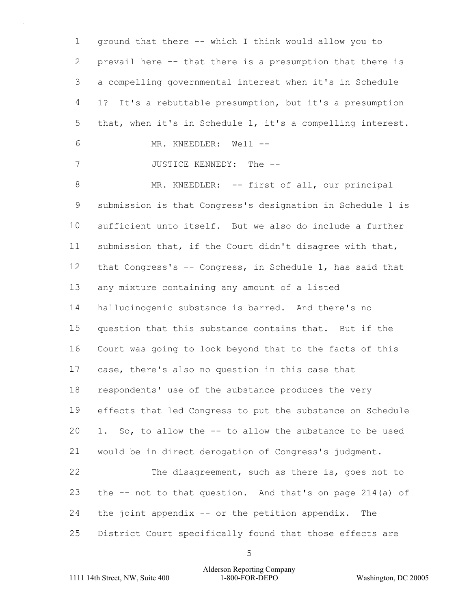ground that there -- which I think would allow you to prevail here -- that there is a presumption that there is a compelling governmental interest when it's in Schedule 1? It's a rebuttable presumption, but it's a presumption that, when it's in Schedule 1, it's a compelling interest. 6 MR. KNEEDLER: Well -- 7 JUSTICE KENNEDY: The --8 MR. KNEEDLER: -- first of all, our principal submission is that Congress's designation in Schedule 1 is sufficient unto itself. But we also do include a further submission that, if the Court didn't disagree with that, that Congress's -- Congress, in Schedule 1, has said that any mixture containing any amount of a listed hallucinogenic substance is barred. And there's no question that this substance contains that. But if the Court was going to look beyond that to the facts of this case, there's also no question in this case that respondents' use of the substance produces the very effects that led Congress to put the substance on Schedule 1. So, to allow the -- to allow the substance to be used would be in direct derogation of Congress's judgment. 22 The disagreement, such as there is, goes not to the -- not to that question. And that's on page 214(a) of the joint appendix -- or the petition appendix. The District Court specifically found that those effects are

1111 14th Street, NW, Suite 400 1-800-FOR-DEPO Washington, DC 20005 Alderson Reporting Company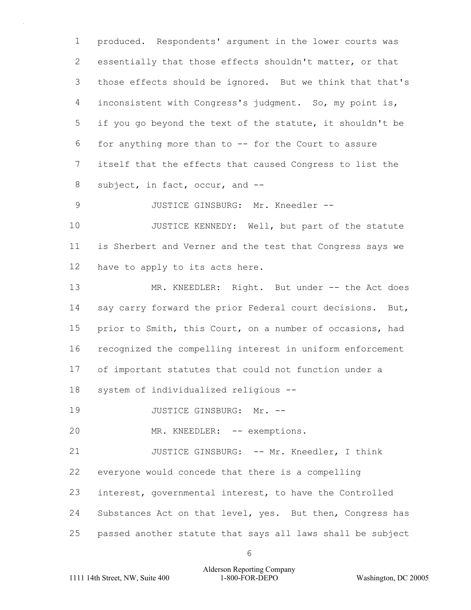produced. Respondents' argument in the lower courts was essentially that those effects shouldn't matter, or that those effects should be ignored. But we think that that's inconsistent with Congress's judgment. So, my point is, if you go beyond the text of the statute, it shouldn't be for anything more than to -- for the Court to assure itself that the effects that caused Congress to list the subject, in fact, occur, and --

9 JUSTICE GINSBURG: Mr. Kneedler --

10 JUSTICE KENNEDY: Well, but part of the statute is Sherbert and Verner and the test that Congress says we have to apply to its acts here.

13 MR. KNEEDLER: Right. But under -- the Act does 14 say carry forward the prior Federal court decisions. But, prior to Smith, this Court, on a number of occasions, had recognized the compelling interest in uniform enforcement of important statutes that could not function under a system of individualized religious --

19 JUSTICE GINSBURG: Mr. --

20 MR. KNEEDLER: -- exemptions.

21 JUSTICE GINSBURG: -- Mr. Kneedler, I think

everyone would concede that there is a compelling

interest, governmental interest, to have the Controlled

24 Substances Act on that level, yes. But then, Congress has

passed another statute that says all laws shall be subject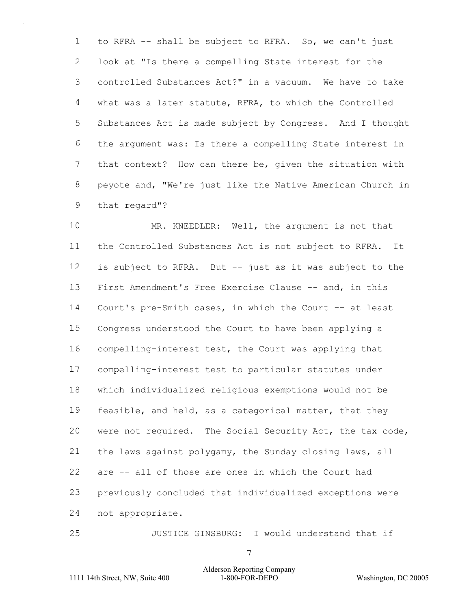to RFRA -- shall be subject to RFRA. So, we can't just look at "Is there a compelling State interest for the controlled Substances Act?" in a vacuum. We have to take what was a later statute, RFRA, to which the Controlled Substances Act is made subject by Congress. And I thought the argument was: Is there a compelling State interest in that context? How can there be, given the situation with peyote and, "We're just like the Native American Church in that regard"?

10 MR. KNEEDLER: Well, the argument is not that the Controlled Substances Act is not subject to RFRA. It is subject to RFRA. But -- just as it was subject to the First Amendment's Free Exercise Clause -- and, in this Court's pre-Smith cases, in which the Court -- at least Congress understood the Court to have been applying a compelling-interest test, the Court was applying that compelling-interest test to particular statutes under which individualized religious exemptions would not be 19 feasible, and held, as a categorical matter, that they were not required. The Social Security Act, the tax code, the laws against polygamy, the Sunday closing laws, all are -- all of those are ones in which the Court had previously concluded that individualized exceptions were not appropriate.

25 JUSTICE GINSBURG: I would understand that if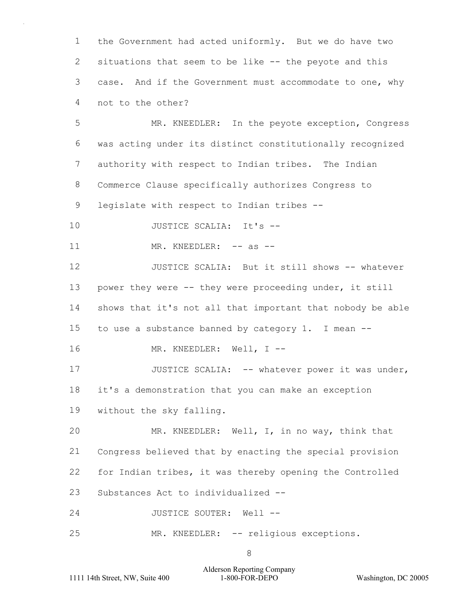the Government had acted uniformly. But we do have two situations that seem to be like -- the peyote and this case. And if the Government must accommodate to one, why not to the other?

5 MR. KNEEDLER: In the peyote exception, Congress was acting under its distinct constitutionally recognized authority with respect to Indian tribes. The Indian Commerce Clause specifically authorizes Congress to legislate with respect to Indian tribes --

- 10 JUSTICE SCALIA: It's --
- 11 MR. KNEEDLER: -- as --

12 JUSTICE SCALIA: But it still shows -- whatever 13 power they were -- they were proceeding under, it still 14 shows that it's not all that important that nobody be able 15 to use a substance banned by category 1. I mean --

16 MR. KNEEDLER: Well, I --

17 JUSTICE SCALIA: -- whatever power it was under, 18 it's a demonstration that you can make an exception 19 without the sky falling.

20 MR. KNEEDLER: Well, I, in no way, think that Congress believed that by enacting the special provision for Indian tribes, it was thereby opening the Controlled Substances Act to individualized --

24 JUSTICE SOUTER: Well --

25 MR. KNEEDLER: -- religious exceptions.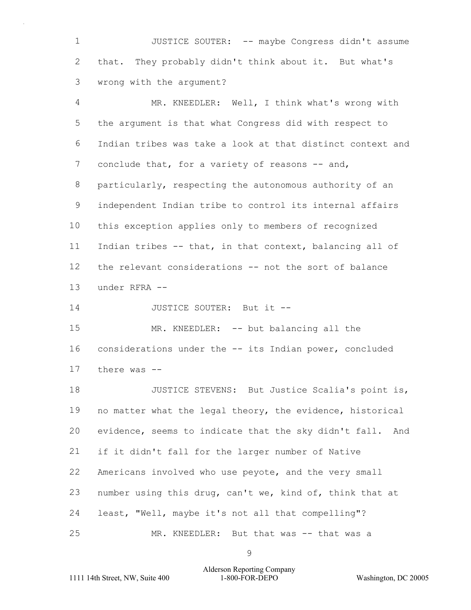1 JUSTICE SOUTER: -- maybe Congress didn't assume that. They probably didn't think about it. But what's wrong with the argument?

4 MR. KNEEDLER: Well, I think what's wrong with the argument is that what Congress did with respect to Indian tribes was take a look at that distinct context and 7 conclude that, for a variety of reasons -- and, particularly, respecting the autonomous authority of an independent Indian tribe to control its internal affairs this exception applies only to members of recognized Indian tribes -- that, in that context, balancing all of the relevant considerations -- not the sort of balance under RFRA -- 14 JUSTICE SOUTER: But it --15 MR. KNEEDLER: -- but balancing all the

 considerations under the -- its Indian power, concluded there was --

18 JUSTICE STEVENS: But Justice Scalia's point is, no matter what the legal theory, the evidence, historical evidence, seems to indicate that the sky didn't fall. And if it didn't fall for the larger number of Native Americans involved who use peyote, and the very small number using this drug, can't we, kind of, think that at least, "Well, maybe it's not all that compelling"? 25 MR. KNEEDLER: But that was -- that was a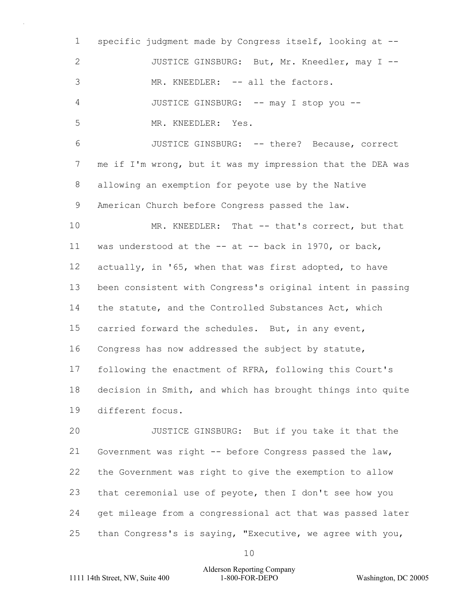specific judgment made by Congress itself, looking at -- 2 JUSTICE GINSBURG: But, Mr. Kneedler, may I --3 MR. KNEEDLER: -- all the factors. 4 JUSTICE GINSBURG: -- may I stop you -- 5 MR. KNEEDLER: Yes. 6 JUSTICE GINSBURG: -- there? Because, correct me if I'm wrong, but it was my impression that the DEA was allowing an exemption for peyote use by the Native American Church before Congress passed the law. 10 MR. KNEEDLER: That -- that's correct, but that was understood at the -- at -- back in 1970, or back, actually, in '65, when that was first adopted, to have been consistent with Congress's original intent in passing the statute, and the Controlled Substances Act, which carried forward the schedules. But, in any event, Congress has now addressed the subject by statute, following the enactment of RFRA, following this Court's decision in Smith, and which has brought things into quite different focus. 20 JUSTICE GINSBURG: But if you take it that the

 Government was right -- before Congress passed the law, the Government was right to give the exemption to allow that ceremonial use of peyote, then I don't see how you get mileage from a congressional act that was passed later than Congress's is saying, "Executive, we agree with you,

# 1111 14th Street, NW, Suite 400 1-800-FOR-DEPO Washington, DC 20005 Alderson Reporting Company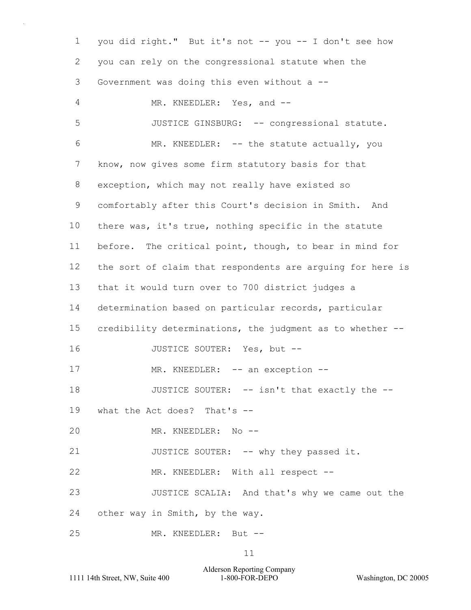1 you did right." But it's not -- you -- I don't see how 2 you can rely on the congressional statute when the 3 Government was doing this even without a -- 4 MR. KNEEDLER: Yes, and --5 JUSTICE GINSBURG: -- congressional statute. 6 MR. KNEEDLER: -- the statute actually, you 7 know, now gives some firm statutory basis for that 8 exception, which may not really have existed so 9 comfortably after this Court's decision in Smith. And 10 there was, it's true, nothing specific in the statute 11 before. The critical point, though, to bear in mind for 12 the sort of claim that respondents are arguing for here is 13 that it would turn over to 700 district judges a 14 determination based on particular records, particular 15 credibility determinations, the judgment as to whether -- 16 JUSTICE SOUTER: Yes, but --17 MR. KNEEDLER: -- an exception --18 JUSTICE SOUTER: -- isn't that exactly the --19 what the Act does? That's -- 20 MR. KNEEDLER: No -- 21 JUSTICE SOUTER: -- why they passed it. 22 MR. KNEEDLER: With all respect --23 JUSTICE SCALIA: And that's why we came out the 24 other way in Smith, by the way. 25 MR. KNEEDLER: But --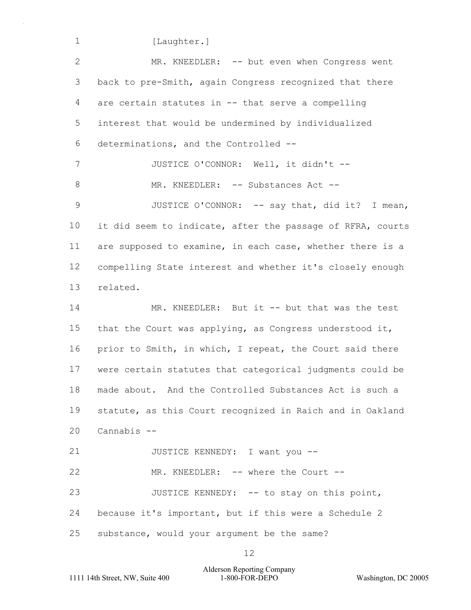1 [Laughter.]

2 MR. KNEEDLER: -- but even when Congress went 3 back to pre-Smith, again Congress recognized that there 4 are certain statutes in -- that serve a compelling 5 interest that would be undermined by individualized 6 determinations, and the Controlled -- 7 JUSTICE O'CONNOR: Well, it didn't --8 MR. KNEEDLER: -- Substances Act --9 JUSTICE O'CONNOR: -- say that, did it? I mean, 10 it did seem to indicate, after the passage of RFRA, courts 11 are supposed to examine, in each case, whether there is a 12 compelling State interest and whether it's closely enough 13 related. 14 MR. KNEEDLER: But it -- but that was the test 15 that the Court was applying, as Congress understood it, 16 prior to Smith, in which, I repeat, the Court said there 17 were certain statutes that categorical judgments could be 18 made about. And the Controlled Substances Act is such a 19 statute, as this Court recognized in Raich and in Oakland 20 Cannabis -- 21 JUSTICE KENNEDY: I want you --22 MR. KNEEDLER: -- where the Court --23 JUSTICE KENNEDY: -- to stay on this point, 24 because it's important, but if this were a Schedule 2 25 substance, would your argument be the same?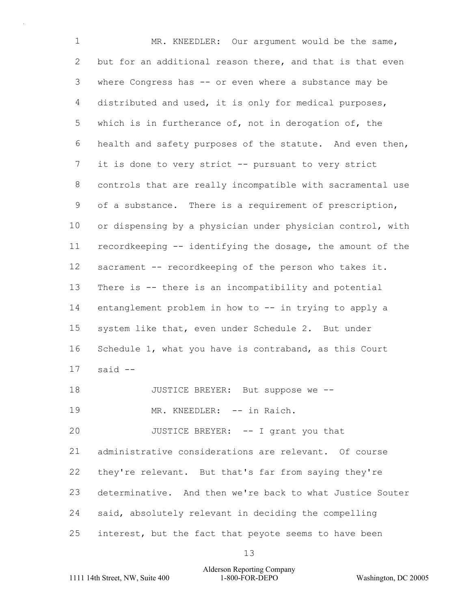1 MR. KNEEDLER: Our argument would be the same, but for an additional reason there, and that is that even where Congress has -- or even where a substance may be distributed and used, it is only for medical purposes, which is in furtherance of, not in derogation of, the health and safety purposes of the statute. And even then, it is done to very strict -- pursuant to very strict controls that are really incompatible with sacramental use of a substance. There is a requirement of prescription, or dispensing by a physician under physician control, with recordkeeping -- identifying the dosage, the amount of the sacrament -- recordkeeping of the person who takes it. There is -- there is an incompatibility and potential entanglement problem in how to -- in trying to apply a system like that, even under Schedule 2. But under Schedule 1, what you have is contraband, as this Court said -- 18 JUSTICE BREYER: But suppose we --19 MR. KNEEDLER: -- in Raich. 20 JUSTICE BREYER: -- I grant you that administrative considerations are relevant. Of course they're relevant. But that's far from saying they're determinative. And then we're back to what Justice Souter said, absolutely relevant in deciding the compelling

interest, but the fact that peyote seems to have been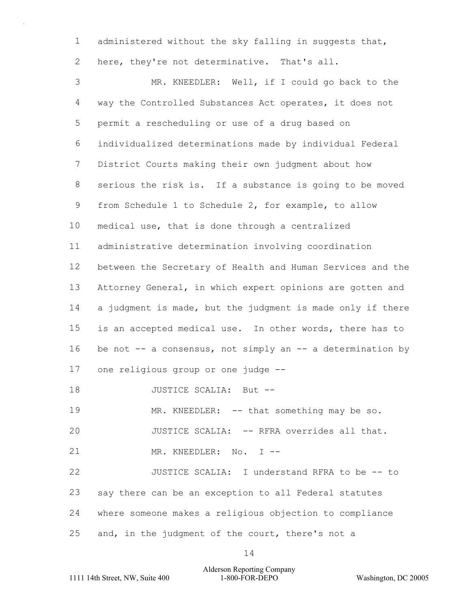administered without the sky falling in suggests that,

here, they're not determinative. That's all.

3 MR. KNEEDLER: Well, if I could go back to the way the Controlled Substances Act operates, it does not permit a rescheduling or use of a drug based on individualized determinations made by individual Federal District Courts making their own judgment about how serious the risk is. If a substance is going to be moved from Schedule 1 to Schedule 2, for example, to allow medical use, that is done through a centralized administrative determination involving coordination between the Secretary of Health and Human Services and the Attorney General, in which expert opinions are gotten and 14 a judgment is made, but the judgment is made only if there is an accepted medical use. In other words, there has to 16 be not -- a consensus, not simply an -- a determination by one religious group or one judge -- 18 JUSTICE SCALIA: But --19 MR. KNEEDLER: -- that something may be so. 20 JUSTICE SCALIA: -- RFRA overrides all that. 21 MR. KNEEDLER: No. I -- 22 JUSTICE SCALIA: I understand RFRA to be -- to say there can be an exception to all Federal statutes where someone makes a religious objection to compliance

25 and, in the judgment of the court, there's not a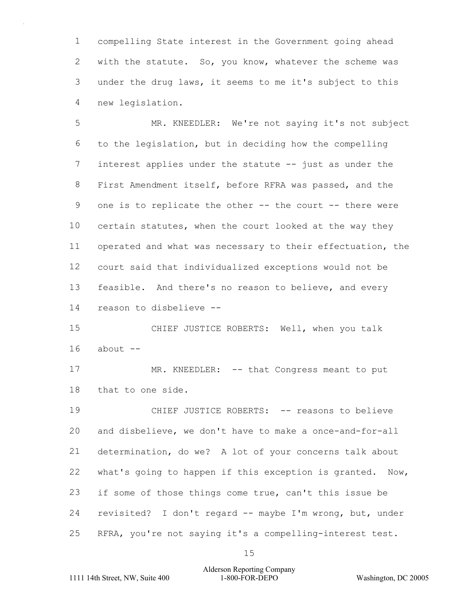compelling State interest in the Government going ahead with the statute. So, you know, whatever the scheme was under the drug laws, it seems to me it's subject to this new legislation.

5 MR. KNEEDLER: We're not saying it's not subject to the legislation, but in deciding how the compelling 7 interest applies under the statute -- just as under the First Amendment itself, before RFRA was passed, and the one is to replicate the other -- the court -- there were certain statutes, when the court looked at the way they operated and what was necessary to their effectuation, the court said that individualized exceptions would not be feasible. And there's no reason to believe, and every reason to disbelieve --

15 CHIEF JUSTICE ROBERTS: Well, when you talk about  $-$ 

17 MR. KNEEDLER: -- that Congress meant to put that to one side.

19 CHIEF JUSTICE ROBERTS: -- reasons to believe and disbelieve, we don't have to make a once-and-for-all determination, do we? A lot of your concerns talk about what's going to happen if this exception is granted. Now, if some of those things come true, can't this issue be revisited? I don't regard -- maybe I'm wrong, but, under RFRA, you're not saying it's a compelling-interest test.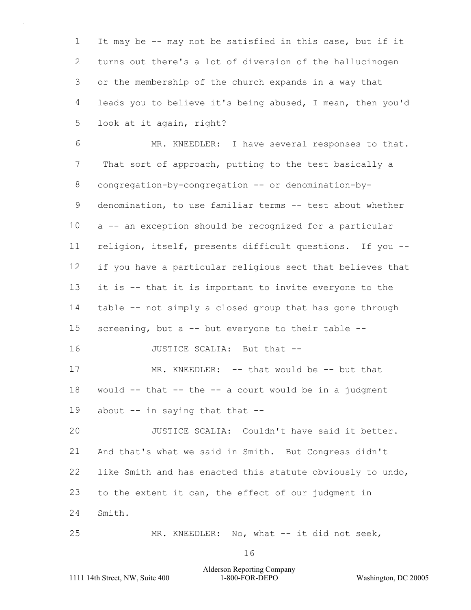It may be -- may not be satisfied in this case, but if it turns out there's a lot of diversion of the hallucinogen or the membership of the church expands in a way that leads you to believe it's being abused, I mean, then you'd look at it again, right?

6 MR. KNEEDLER: I have several responses to that. 7 That sort of approach, putting to the test basically a congregation-by-congregation -- or denomination-by- denomination, to use familiar terms -- test about whether a -- an exception should be recognized for a particular religion, itself, presents difficult questions. If you -- if you have a particular religious sect that believes that it is -- that it is important to invite everyone to the table -- not simply a closed group that has gone through screening, but a -- but everyone to their table -- 16 JUSTICE SCALIA: But that --17 MR. KNEEDLER: -- that would be -- but that 18 would  $--$  that  $--$  the  $--$  a court would be in a judgment 19 about -- in saying that that --20 JUSTICE SCALIA: Couldn't have said it better. And that's what we said in Smith. But Congress didn't like Smith and has enacted this statute obviously to undo, to the extent it can, the effect of our judgment in Smith.

25 MR. KNEEDLER: No, what -- it did not seek,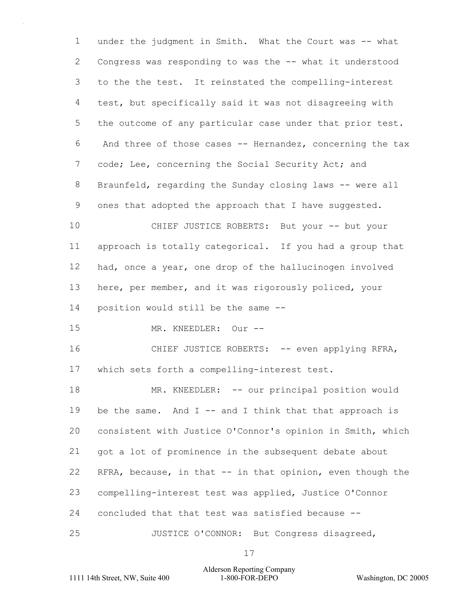under the judgment in Smith. What the Court was -- what Congress was responding to was the -- what it understood to the the test. It reinstated the compelling-interest test, but specifically said it was not disagreeing with the outcome of any particular case under that prior test. 6 And three of those cases -- Hernandez, concerning the tax 7 code; Lee, concerning the Social Security Act; and Braunfeld, regarding the Sunday closing laws -- were all ones that adopted the approach that I have suggested. 10 CHIEF JUSTICE ROBERTS: But your -- but your approach is totally categorical. If you had a group that had, once a year, one drop of the hallucinogen involved here, per member, and it was rigorously policed, your position would still be the same -- 15 MR. KNEEDLER: Our -- 16 CHIEF JUSTICE ROBERTS: -- even applying RFRA, which sets forth a compelling-interest test. 18 MR. KNEEDLER: -- our principal position would

19 be the same. And I -- and I think that that approach is consistent with Justice O'Connor's opinion in Smith, which got a lot of prominence in the subsequent debate about RFRA, because, in that -- in that opinion, even though the compelling-interest test was applied, Justice O'Connor concluded that that test was satisfied because -- 25 JUSTICE O'CONNOR: But Congress disagreed,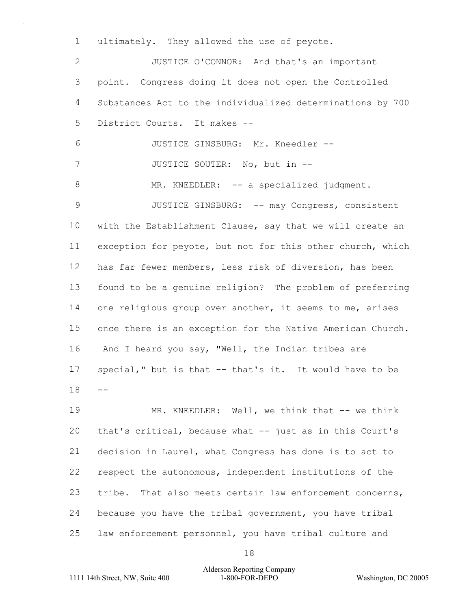ultimately. They allowed the use of peyote.

2 JUSTICE O'CONNOR: And that's an important point. Congress doing it does not open the Controlled Substances Act to the individualized determinations by 700 District Courts. It makes -- 6 JUSTICE GINSBURG: Mr. Kneedler -- 7 JUSTICE SOUTER: No, but in --8 MR. KNEEDLER: -- a specialized judgment. 9 JUSTICE GINSBURG: -- may Congress, consistent with the Establishment Clause, say that we will create an exception for peyote, but not for this other church, which has far fewer members, less risk of diversion, has been found to be a genuine religion? The problem of preferring one religious group over another, it seems to me, arises once there is an exception for the Native American Church. 16 And I heard you say, "Well, the Indian tribes are special," but is that -- that's it. It would have to be -- 19 MR. KNEEDLER: Well, we think that -- we think

 that's critical, because what -- just as in this Court's decision in Laurel, what Congress has done is to act to respect the autonomous, independent institutions of the 23 tribe. That also meets certain law enforcement concerns, because you have the tribal government, you have tribal law enforcement personnel, you have tribal culture and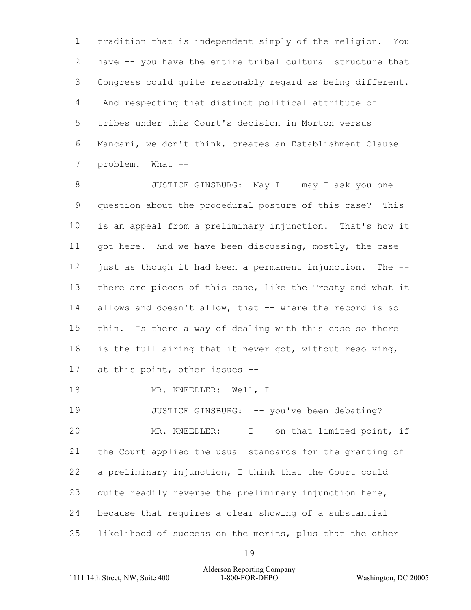tradition that is independent simply of the religion. You have -- you have the entire tribal cultural structure that Congress could quite reasonably regard as being different. 4 And respecting that distinct political attribute of tribes under this Court's decision in Morton versus Mancari, we don't think, creates an Establishment Clause 7 problem. What --

8 JUSTICE GINSBURG: May I -- may I ask you one question about the procedural posture of this case? This is an appeal from a preliminary injunction. That's how it got here. And we have been discussing, mostly, the case just as though it had been a permanent injunction. The -- 13 there are pieces of this case, like the Treaty and what it 14 allows and doesn't allow, that -- where the record is so thin. Is there a way of dealing with this case so there is the full airing that it never got, without resolving, at this point, other issues --

18 MR. KNEEDLER: Well, I --

19 JUSTICE GINSBURG: -- you've been debating? 20 MR. KNEEDLER: -- I -- on that limited point, if the Court applied the usual standards for the granting of a preliminary injunction, I think that the Court could quite readily reverse the preliminary injunction here, because that requires a clear showing of a substantial likelihood of success on the merits, plus that the other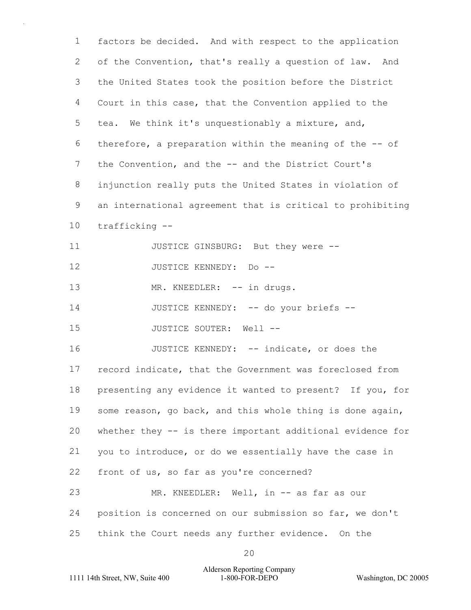factors be decided. And with respect to the application of the Convention, that's really a question of law. And the United States took the position before the District Court in this case, that the Convention applied to the tea. We think it's unquestionably a mixture, and, therefore, a preparation within the meaning of the -- of 7 the Convention, and the -- and the District Court's injunction really puts the United States in violation of an international agreement that is critical to prohibiting trafficking -- 11 JUSTICE GINSBURG: But they were --12 JUSTICE KENNEDY: Do --

13 MR. KNEEDLER: -- in drugs.

14 JUSTICE KENNEDY: -- do your briefs --

15 JUSTICE SOUTER: Well --

16 JUSTICE KENNEDY: -- indicate, or does the record indicate, that the Government was foreclosed from presenting any evidence it wanted to present? If you, for some reason, go back, and this whole thing is done again, whether they -- is there important additional evidence for you to introduce, or do we essentially have the case in front of us, so far as you're concerned? 23 MR. KNEEDLER: Well, in -- as far as our position is concerned on our submission so far, we don't

think the Court needs any further evidence. On the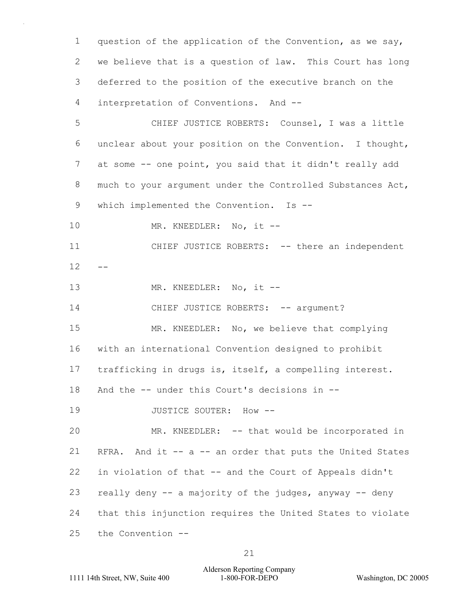question of the application of the Convention, as we say, we believe that is a question of law. This Court has long deferred to the position of the executive branch on the interpretation of Conventions. And --

5 CHIEF JUSTICE ROBERTS: Counsel, I was a little 6 unclear about your position on the Convention. I thought, 7 at some -- one point, you said that it didn't really add 8 much to your argument under the Controlled Substances Act, 9 which implemented the Convention. Is --

10 MR. KNEEDLER: No, it --

11 CHIEF JUSTICE ROBERTS: -- there an independent  $12 - -$ 

13 MR. KNEEDLER: No, it --

14 CHIEF JUSTICE ROBERTS: -- argument?

15 MR. KNEEDLER: No, we believe that complying 16 with an international Convention designed to prohibit 17 trafficking in drugs is, itself, a compelling interest.

18 And the -- under this Court's decisions in --

19 JUSTICE SOUTER: How --

20 MR. KNEEDLER: -- that would be incorporated in RFRA. And it -- a -- an order that puts the United States in violation of that -- and the Court of Appeals didn't really deny -- a majority of the judges, anyway -- deny that this injunction requires the United States to violate the Convention --

Alderson Reporting Company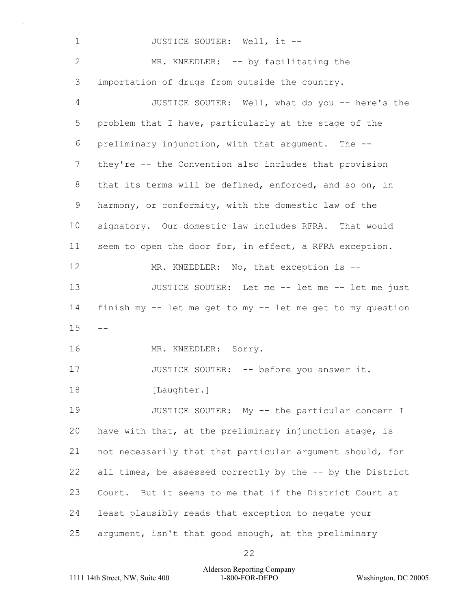1 JUSTICE SOUTER: Well, it --2 MR. KNEEDLER: -- by facilitating the 3 importation of drugs from outside the country. 4 JUSTICE SOUTER: Well, what do you -- here's the 5 problem that I have, particularly at the stage of the 6 preliminary injunction, with that argument. The -- 7 they're -- the Convention also includes that provision 8 that its terms will be defined, enforced, and so on, in 9 harmony, or conformity, with the domestic law of the 10 signatory. Our domestic law includes RFRA. That would 11 seem to open the door for, in effect, a RFRA exception. 12 MR. KNEEDLER: No, that exception is --13 JUSTICE SOUTER: Let me -- let me -- let me just 14 finish my -- let me get to my -- let me get to my question  $15 - -$ 16 MR. KNEEDLER: Sorry. 17 JUSTICE SOUTER: -- before you answer it. 18 [Laughter.] 19 JUSTICE SOUTER: My -- the particular concern I 20 have with that, at the preliminary injunction stage, is 21 not necessarily that that particular argument should, for 22 all times, be assessed correctly by the -- by the District 23 Court. But it seems to me that if the District Court at 24 least plausibly reads that exception to negate your 25 argument, isn't that good enough, at the preliminary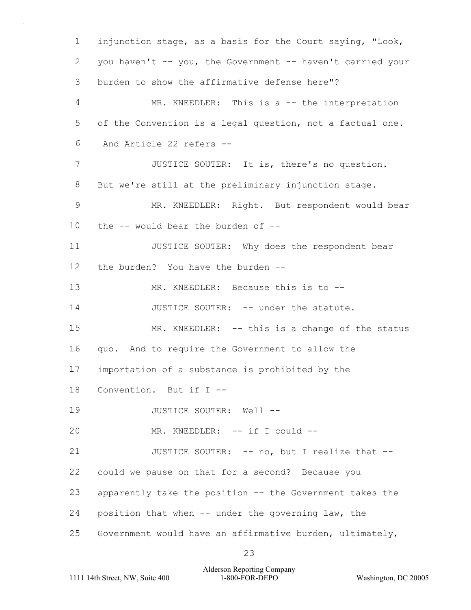1 injunction stage, as a basis for the Court saying, "Look, 2 you haven't -- you, the Government -- haven't carried your 3 burden to show the affirmative defense here"? 4 MR. KNEEDLER: This is a -- the interpretation 5 of the Convention is a legal question, not a factual one. 6 And Article 22 refers -- 7 JUSTICE SOUTER: It is, there's no question. 8 But we're still at the preliminary injunction stage. 9 MR. KNEEDLER: Right. But respondent would bear 10 the -- would bear the burden of -- 11 JUSTICE SOUTER: Why does the respondent bear 12 the burden? You have the burden -- 13 MR. KNEEDLER: Because this is to -- 14 JUSTICE SOUTER: -- under the statute. 15 MR. KNEEDLER: -- this is a change of the status 16 quo. And to require the Government to allow the 17 importation of a substance is prohibited by the 18 Convention. But if I -- 19 JUSTICE SOUTER: Well --20 MR. KNEEDLER: -- if I could --21 JUSTICE SOUTER: -- no, but I realize that --22 could we pause on that for a second? Because you 23 apparently take the position -- the Government takes the 24 position that when -- under the governing law, the 25 Government would have an affirmative burden, ultimately,

1111 14th Street, NW, Suite 400 1-800-FOR-DEPO Washington, DC 20005 Alderson Reporting Company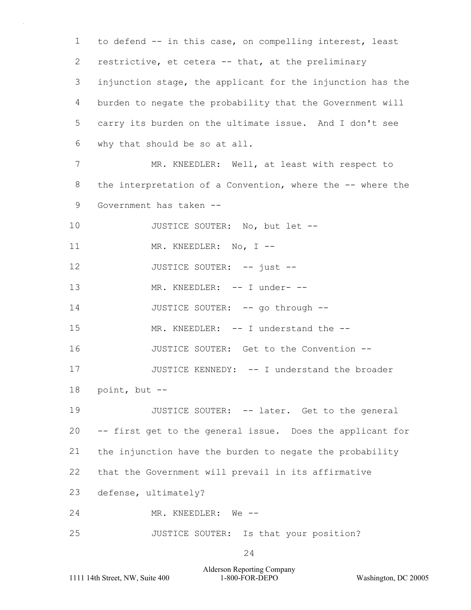1 to defend -- in this case, on compelling interest, least 2 restrictive, et cetera -- that, at the preliminary 3 injunction stage, the applicant for the injunction has the 4 burden to negate the probability that the Government will 5 carry its burden on the ultimate issue. And I don't see 6 why that should be so at all. 7 MR. KNEEDLER: Well, at least with respect to 8 the interpretation of a Convention, where the -- where the 9 Government has taken -- 10 JUSTICE SOUTER: No, but let --11 MR. KNEEDLER: No, I --12 JUSTICE SOUTER: -- just --13 MR. KNEEDLER: -- I under- --14 JUSTICE SOUTER: -- go through --15 MR. KNEEDLER: -- I understand the --16 JUSTICE SOUTER: Get to the Convention --17 JUSTICE KENNEDY: -- I understand the broader 18 point, but -- 19 JUSTICE SOUTER: -- later. Get to the general 20 -- first get to the general issue. Does the applicant for 21 the injunction have the burden to negate the probability 22 that the Government will prevail in its affirmative 23 defense, ultimately? 24 MR. KNEEDLER: We -- 25 JUSTICE SOUTER: Is that your position?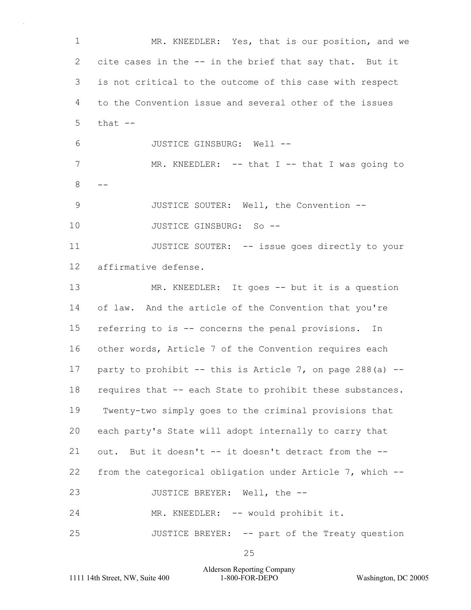1 MR. KNEEDLER: Yes, that is our position, and we 2 cite cases in the -- in the brief that say that. But it 3 is not critical to the outcome of this case with respect 4 to the Convention issue and several other of the issues  $5$  that  $-$ 6 JUSTICE GINSBURG: Well -- 7 MR. KNEEDLER: -- that I -- that I was going to  $8 - -$ 9 JUSTICE SOUTER: Well, the Convention -- 10 JUSTICE GINSBURG: So --11 JUSTICE SOUTER: -- issue goes directly to your 12 affirmative defense. 13 MR. KNEEDLER: It goes -- but it is a question 14 of law. And the article of the Convention that you're 15 referring to is -- concerns the penal provisions. In 16 other words, Article 7 of the Convention requires each 17 party to prohibit  $--$  this is Article 7, on page 288(a)  $--$ 18 requires that -- each State to prohibit these substances. 19 Twenty-two simply goes to the criminal provisions that 20 each party's State will adopt internally to carry that 21 out. But it doesn't -- it doesn't detract from the -- 22 from the categorical obligation under Article 7, which -- 23 JUSTICE BREYER: Well, the --24 MR. KNEEDLER: -- would prohibit it. 25 JUSTICE BREYER: -- part of the Treaty question

1111 14th Street, NW, Suite 400 1-800-FOR-DEPO Washington, DC 20005 Alderson Reporting Company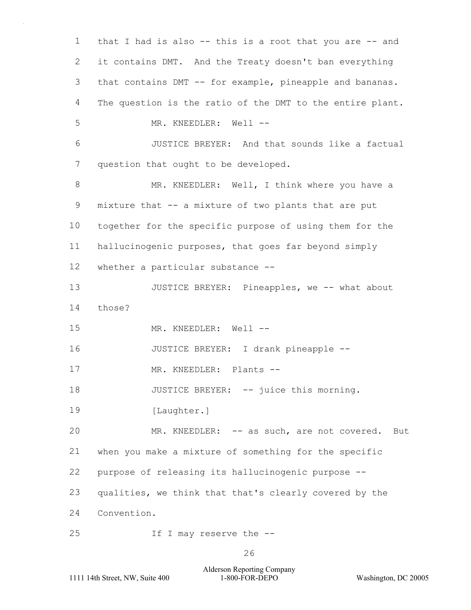1 that I had is also -- this is a root that you are -- and 2 it contains DMT. And the Treaty doesn't ban everything 3 that contains DMT -- for example, pineapple and bananas. 4 The question is the ratio of the DMT to the entire plant. 5 MR. KNEEDLER: Well --6 JUSTICE BREYER: And that sounds like a factual 7 question that ought to be developed. 8 MR. KNEEDLER: Well, I think where you have a 9 mixture that -- a mixture of two plants that are put 10 together for the specific purpose of using them for the 11 hallucinogenic purposes, that goes far beyond simply 12 whether a particular substance -- 13 JUSTICE BREYER: Pineapples, we -- what about 14 those? 15 MR. KNEEDLER: Well -- 16 JUSTICE BREYER: I drank pineapple -- 17 MR. KNEEDLER: Plants --18 JUSTICE BREYER: -- juice this morning. 19 [Laughter.] 20 MR. KNEEDLER: -- as such, are not covered. But 21 when you make a mixture of something for the specific 22 purpose of releasing its hallucinogenic purpose -- 23 qualities, we think that that's clearly covered by the 24 Convention. 25 If I may reserve the --

1111 14th Street, NW, Suite 400 1-800-FOR-DEPO Washington, DC 20005 Alderson Reporting Company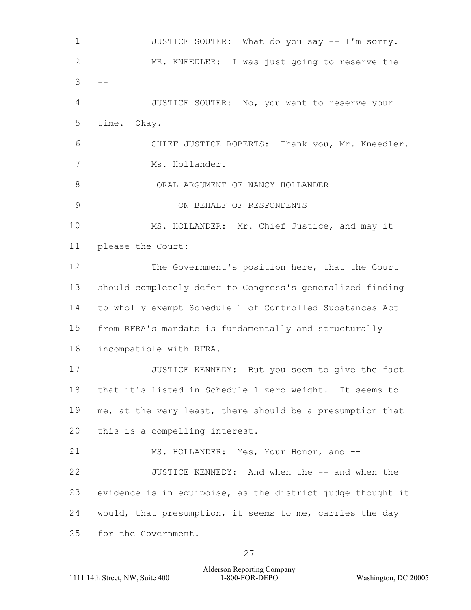1 JUSTICE SOUTER: What do you say -- I'm sorry. 2 MR. KNEEDLER: I was just going to reserve the  $3 - -$ 4 JUSTICE SOUTER: No, you want to reserve your 5 time. Okay. 6 CHIEF JUSTICE ROBERTS: Thank you, Mr. Kneedler. 7 Ms. Hollander. 8 ORAL ARGUMENT OF NANCY HOLLANDER 9 ON BEHALF OF RESPONDENTS 10 MS. HOLLANDER: Mr. Chief Justice, and may it 11 please the Court: 12 The Government's position here, that the Court 13 should completely defer to Congress's generalized finding 14 to wholly exempt Schedule 1 of Controlled Substances Act 15 from RFRA's mandate is fundamentally and structurally 16 incompatible with RFRA. 17 JUSTICE KENNEDY: But you seem to give the fact 18 that it's listed in Schedule 1 zero weight. It seems to 19 me, at the very least, there should be a presumption that 20 this is a compelling interest. 21 MS. HOLLANDER: Yes, Your Honor, and -- 22 JUSTICE KENNEDY: And when the -- and when the 23 evidence is in equipoise, as the district judge thought it 24 would, that presumption, it seems to me, carries the day 25 for the Government.

Alderson Reporting Company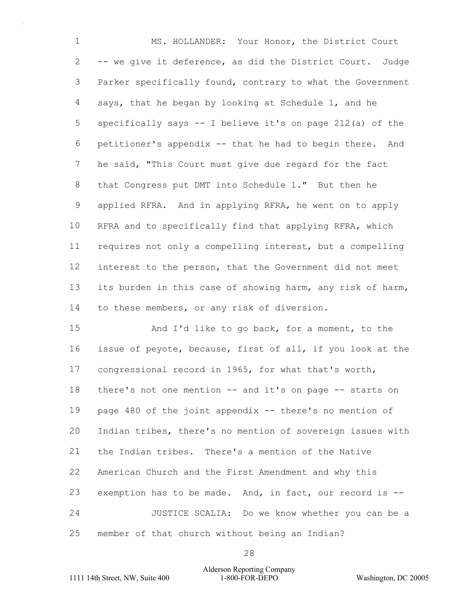1 MS. HOLLANDER: Your Honor, the District Court -- we give it deference, as did the District Court. Judge Parker specifically found, contrary to what the Government says, that he began by looking at Schedule 1, and he specifically says -- I believe it's on page 212(a) of the petitioner's appendix -- that he had to begin there. And he said, "This Court must give due regard for the fact that Congress put DMT into Schedule 1." But then he applied RFRA. And in applying RFRA, he went on to apply RFRA and to specifically find that applying RFRA, which requires not only a compelling interest, but a compelling interest to the person, that the Government did not meet its burden in this case of showing harm, any risk of harm, to these members, or any risk of diversion.

15 And I'd like to go back, for a moment, to the issue of peyote, because, first of all, if you look at the congressional record in 1965, for what that's worth, there's not one mention -- and it's on page -- starts on page 480 of the joint appendix -- there's no mention of Indian tribes, there's no mention of sovereign issues with the Indian tribes. There's a mention of the Native American Church and the First Amendment and why this exemption has to be made. And, in fact, our record is -- 24 JUSTICE SCALIA: Do we know whether you can be a member of that church without being an Indian?

# 1111 14th Street, NW, Suite 400 1-800-FOR-DEPO Washington, DC 20005 Alderson Reporting Company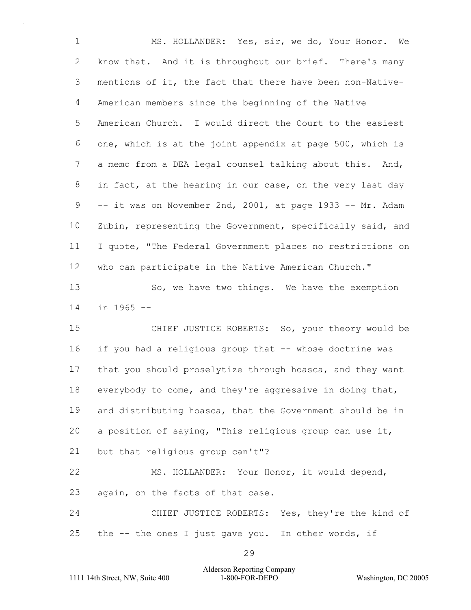1 MS. HOLLANDER: Yes, sir, we do, Your Honor. We know that. And it is throughout our brief. There's many mentions of it, the fact that there have been non-Native- American members since the beginning of the Native American Church. I would direct the Court to the easiest one, which is at the joint appendix at page 500, which is a memo from a DEA legal counsel talking about this. And, in fact, at the hearing in our case, on the very last day -- it was on November 2nd, 2001, at page 1933 -- Mr. Adam Zubin, representing the Government, specifically said, and I quote, "The Federal Government places no restrictions on who can participate in the Native American Church." 13 So, we have two things. We have the exemption in 1965 -- 15 CHIEF JUSTICE ROBERTS: So, your theory would be if you had a religious group that -- whose doctrine was that you should proselytize through hoasca, and they want everybody to come, and they're aggressive in doing that,

and distributing hoasca, that the Government should be in

a position of saying, "This religious group can use it,

but that religious group can't"?

22 MS. HOLLANDER: Your Honor, it would depend, again, on the facts of that case.

24 CHIEF JUSTICE ROBERTS: Yes, they're the kind of the -- the ones I just gave you. In other words, if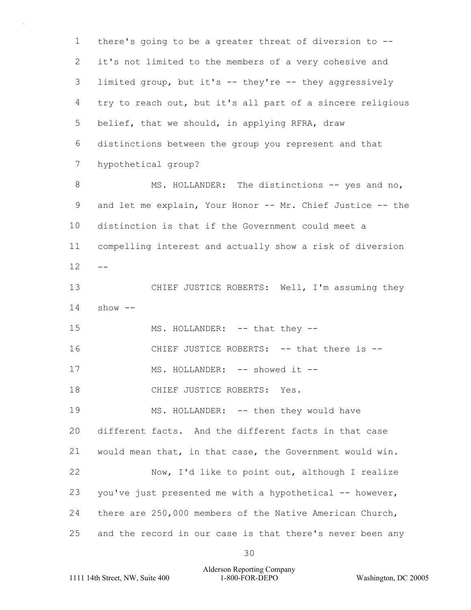1 there's going to be a greater threat of diversion to -- 2 it's not limited to the members of a very cohesive and 3 limited group, but it's -- they're -- they aggressively 4 try to reach out, but it's all part of a sincere religious 5 belief, that we should, in applying RFRA, draw 6 distinctions between the group you represent and that 7 hypothetical group? 8 MS. HOLLANDER: The distinctions -- yes and no, 9 and let me explain, Your Honor -- Mr. Chief Justice -- the 10 distinction is that if the Government could meet a 11 compelling interest and actually show a risk of diversion  $12 - -$ 13 CHIEF JUSTICE ROBERTS: Well, I'm assuming they  $14$  show  $-$ 15 MS. HOLLANDER: -- that they --16 CHIEF JUSTICE ROBERTS: -- that there is -- 17 MS. HOLLANDER: -- showed it --18 CHIEF JUSTICE ROBERTS: Yes. 19 MS. HOLLANDER: -- then they would have 20 different facts. And the different facts in that case 21 would mean that, in that case, the Government would win. 22 Now, I'd like to point out, although I realize 23 you've just presented me with a hypothetical -- however, 24 there are 250,000 members of the Native American Church, 25 and the record in our case is that there's never been any

1111 14th Street, NW, Suite 400 1-800-FOR-DEPO Washington, DC 20005 Alderson Reporting Company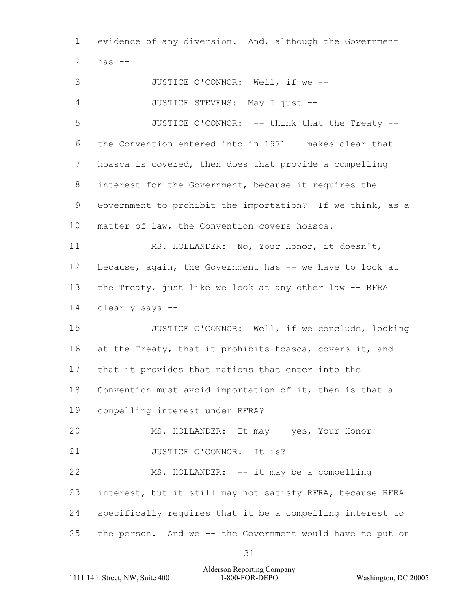1 evidence of any diversion. And, although the Government  $2$  has  $-$ 

3 JUSTICE O'CONNOR: Well, if we -- 4 JUSTICE STEVENS: May I just -- 5 JUSTICE O'CONNOR: -- think that the Treaty --6 the Convention entered into in 1971 -- makes clear that 7 hoasca is covered, then does that provide a compelling 8 interest for the Government, because it requires the 9 Government to prohibit the importation? If we think, as a 10 matter of law, the Convention covers hoasca. 11 MS. HOLLANDER: No, Your Honor, it doesn't, 12 because, again, the Government has -- we have to look at 13 the Treaty, just like we look at any other law -- RFRA 14 clearly says -- 15 JUSTICE O'CONNOR: Well, if we conclude, looking 16 at the Treaty, that it prohibits hoasca, covers it, and 17 that it provides that nations that enter into the 18 Convention must avoid importation of it, then is that a 19 compelling interest under RFRA? 20 MS. HOLLANDER: It may -- yes, Your Honor --21 JUSTICE O'CONNOR: It is? 22 MS. HOLLANDER: -- it may be a compelling 23 interest, but it still may not satisfy RFRA, because RFRA 24 specifically requires that it be a compelling interest to 25 the person. And we -- the Government would have to put on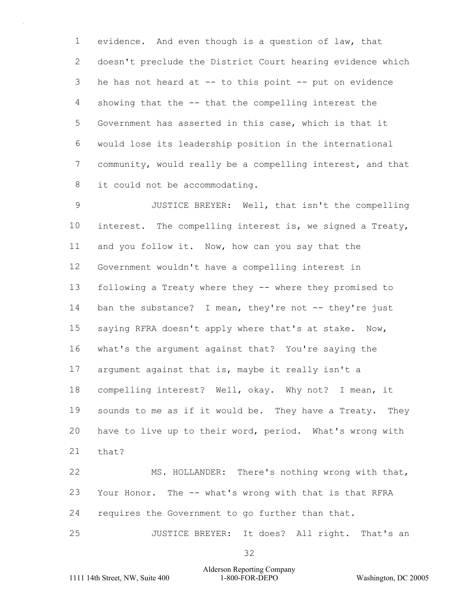evidence. And even though is a question of law, that doesn't preclude the District Court hearing evidence which he has not heard at -- to this point -- put on evidence showing that the -- that the compelling interest the Government has asserted in this case, which is that it would lose its leadership position in the international community, would really be a compelling interest, and that it could not be accommodating.

9 JUSTICE BREYER: Well, that isn't the compelling interest. The compelling interest is, we signed a Treaty, and you follow it. Now, how can you say that the Government wouldn't have a compelling interest in following a Treaty where they -- where they promised to 14 ban the substance? I mean, they're not -- they're just saying RFRA doesn't apply where that's at stake. Now, what's the argument against that? You're saying the argument against that is, maybe it really isn't a compelling interest? Well, okay. Why not? I mean, it 19 sounds to me as if it would be. They have a Treaty. They have to live up to their word, period. What's wrong with that? 22 MS. HOLLANDER: There's nothing wrong with that, Your Honor. The -- what's wrong with that is that RFRA requires the Government to go further than that.

25 JUSTICE BREYER: It does? All right. That's an

1111 14th Street, NW, Suite 400 1-800-FOR-DEPO Washington, DC 20005 Alderson Reporting Company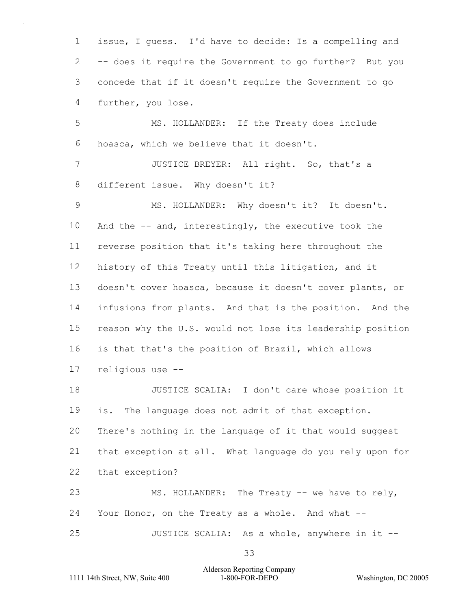issue, I guess. I'd have to decide: Is a compelling and -- does it require the Government to go further? But you concede that if it doesn't require the Government to go further, you lose.

5 MS. HOLLANDER: If the Treaty does include hoasca, which we believe that it doesn't.

7 JUSTICE BREYER: All right. So, that's a different issue. Why doesn't it?

9 MS. HOLLANDER: Why doesn't it? It doesn't. And the -- and, interestingly, the executive took the reverse position that it's taking here throughout the history of this Treaty until this litigation, and it doesn't cover hoasca, because it doesn't cover plants, or infusions from plants. And that is the position. And the reason why the U.S. would not lose its leadership position is that that's the position of Brazil, which allows religious use --

18 JUSTICE SCALIA: I don't care whose position it is. The language does not admit of that exception. There's nothing in the language of it that would suggest that exception at all. What language do you rely upon for that exception? 23 MS. HOLLANDER: The Treaty -- we have to rely,

 Your Honor, on the Treaty as a whole. And what -- 25 JUSTICE SCALIA: As a whole, anywhere in it --

# 1111 14th Street, NW, Suite 400 1-800-FOR-DEPO Washington, DC 20005 Alderson Reporting Company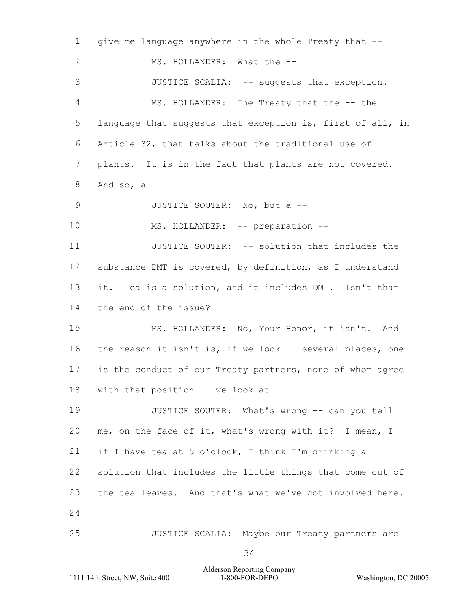| $\mathbf 1$   | give me language anywhere in the whole Treaty that --       |  |
|---------------|-------------------------------------------------------------|--|
| $\mathbf{2}$  | MS. HOLLANDER: What the --                                  |  |
| 3             | JUSTICE SCALIA: -- suggests that exception.                 |  |
| 4             | MS. HOLLANDER: The Treaty that the -- the                   |  |
| 5             | language that suggests that exception is, first of all, in  |  |
| 6             | Article 32, that talks about the traditional use of         |  |
| 7             | plants. It is in the fact that plants are not covered.      |  |
| 8             | And so, $a$ --                                              |  |
| $\mathcal{G}$ | JUSTICE SOUTER: No, but a --                                |  |
| 10            | MS. HOLLANDER: -- preparation --                            |  |
| 11            | JUSTICE SOUTER: -- solution that includes the               |  |
| 12            | substance DMT is covered, by definition, as I understand    |  |
| 13            | it. Tea is a solution, and it includes DMT. Isn't that      |  |
| 14            | the end of the issue?                                       |  |
| 15            | MS. HOLLANDER: No, Your Honor, it isn't. And                |  |
| 16            | the reason it isn't is, if we look -- several places, one   |  |
| 17            | is the conduct of our Treaty partners, none of whom agree   |  |
| 18            | with that position $--$ we look at $--$                     |  |
| 19            | JUSTICE SOUTER: What's wrong -- can you tell                |  |
| 20            | me, on the face of it, what's wrong with it? I mean, $I$ -- |  |
| 21            | if I have tea at 5 o'clock, I think I'm drinking a          |  |
| 22            | solution that includes the little things that come out of   |  |
| 23            | the tea leaves. And that's what we've got involved here.    |  |
| 24            |                                                             |  |
| 25            | JUSTICE SCALIA: Maybe our Treaty partners are               |  |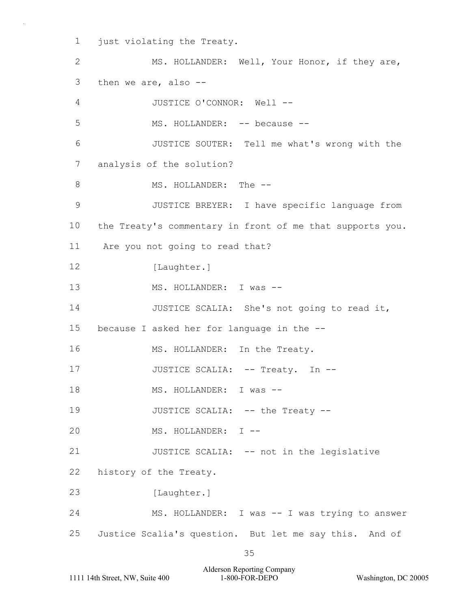1 just violating the Treaty.

2 MS. HOLLANDER: Well, Your Honor, if they are, 3 then we are, also -- 4 JUSTICE O'CONNOR: Well -- 5 MS. HOLLANDER: -- because --6 JUSTICE SOUTER: Tell me what's wrong with the 7 analysis of the solution? 8 MS. HOLLANDER: The --9 JUSTICE BREYER: I have specific language from 10 the Treaty's commentary in front of me that supports you. 11 Are you not going to read that? 12 [Laughter.] 13 MS. HOLLANDER: I was -- 14 JUSTICE SCALIA: She's not going to read it, 15 because I asked her for language in the -- 16 MS. HOLLANDER: In the Treaty. 17 JUSTICE SCALIA: -- Treaty. In --18 MS. HOLLANDER: I was --19 JUSTICE SCALIA: -- the Treaty --20 MS. HOLLANDER: I -- 21 JUSTICE SCALIA: -- not in the legislative 22 history of the Treaty. 23 [Laughter.] 24 MS. HOLLANDER: I was -- I was trying to answer 25 Justice Scalia's question. But let me say this. And of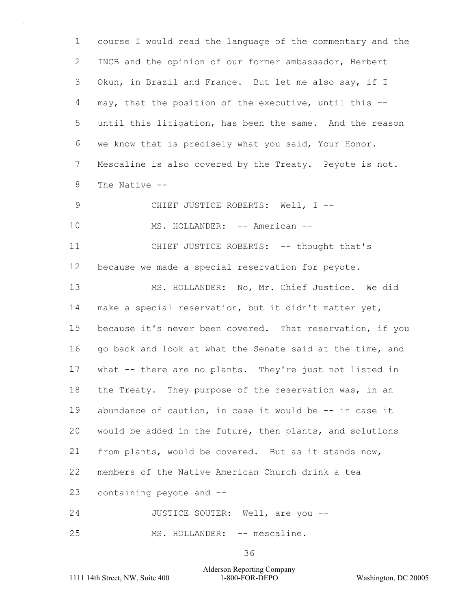course I would read the language of the commentary and the INCB and the opinion of our former ambassador, Herbert Okun, in Brazil and France. But let me also say, if I may, that the position of the executive, until this -- until this litigation, has been the same. And the reason we know that is precisely what you said, Your Honor. Mescaline is also covered by the Treaty. Peyote is not. The Native -- 9 CHIEF JUSTICE ROBERTS: Well, I --10 MS. HOLLANDER: -- American --11 CHIEF JUSTICE ROBERTS: -- thought that's because we made a special reservation for peyote. 13 MS. HOLLANDER: No, Mr. Chief Justice. We did make a special reservation, but it didn't matter yet, because it's never been covered. That reservation, if you 16 go back and look at what the Senate said at the time, and what -- there are no plants. They're just not listed in 18 the Treaty. They purpose of the reservation was, in an abundance of caution, in case it would be -- in case it would be added in the future, then plants, and solutions

from plants, would be covered. But as it stands now,

members of the Native American Church drink a tea

containing peyote and --

24 JUSTICE SOUTER: Well, are you --

25 MS. HOLLANDER: -- mescaline.

1111 14th Street, NW, Suite 400 1-800-FOR-DEPO Washington, DC 20005 Alderson Reporting Company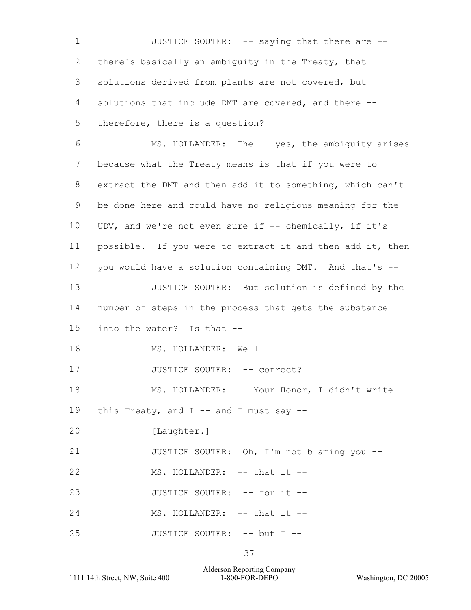1 JUSTICE SOUTER: -- saying that there are --2 there's basically an ambiguity in the Treaty, that 3 solutions derived from plants are not covered, but 4 solutions that include DMT are covered, and there -- 5 therefore, there is a question? 6 MS. HOLLANDER: The -- yes, the ambiguity arises 7 because what the Treaty means is that if you were to 8 extract the DMT and then add it to something, which can't 9 be done here and could have no religious meaning for the 10 UDV, and we're not even sure if -- chemically, if it's 11 possible. If you were to extract it and then add it, then 12 you would have a solution containing DMT. And that's -- 13 JUSTICE SOUTER: But solution is defined by the 14 number of steps in the process that gets the substance 15 into the water? Is that -- 16 MS. HOLLANDER: Well --17 JUSTICE SOUTER: -- correct? 18 MS. HOLLANDER: -- Your Honor, I didn't write 19 this Treaty, and  $I$  -- and I must say --20 [Laughter.] 21 JUSTICE SOUTER: Oh, I'm not blaming you --22 MS. HOLLANDER: -- that it --23 JUSTICE SOUTER: -- for it --24 MS. HOLLANDER: -- that it --25 JUSTICE SOUTER: -- but I --

37

1111 14th Street, NW, Suite 400 1-800-FOR-DEPO Washington, DC 20005 Alderson Reporting Company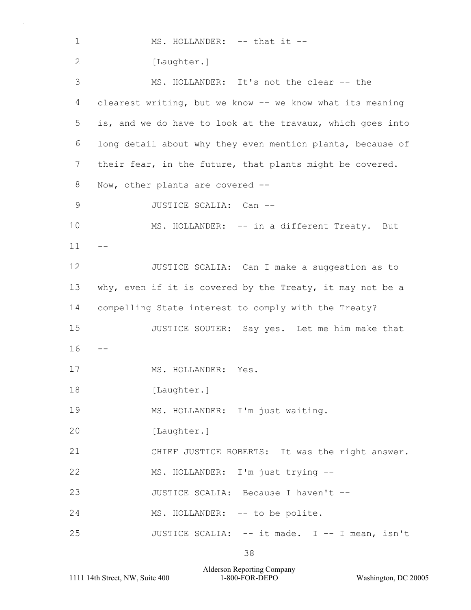| $\mathbf 1$   | MS. HOLLANDER: -- that it --                               |
|---------------|------------------------------------------------------------|
| 2             | [Laughter.]                                                |
| 3             | MS. HOLLANDER: It's not the clear -- the                   |
| 4             | clearest writing, but we know -- we know what its meaning  |
| 5             | is, and we do have to look at the travaux, which goes into |
| 6             | long detail about why they even mention plants, because of |
| 7             | their fear, in the future, that plants might be covered.   |
| 8             | Now, other plants are covered --                           |
| $\mathcal{G}$ | JUSTICE SCALIA: Can --                                     |
| 10            | MS. HOLLANDER: -- in a different Treaty.<br>But            |
| 11            |                                                            |
| 12            | JUSTICE SCALIA: Can I make a suggestion as to              |
| 13            | why, even if it is covered by the Treaty, it may not be a  |
| 14            | compelling State interest to comply with the Treaty?       |
| 15            | JUSTICE SOUTER: Say yes. Let me him make that              |
| 16            |                                                            |
| 17            | MS. HOLLANDER:<br>Yes.                                     |
| 18            | [Laughter.]                                                |
| 19            | MS. HOLLANDER: I'm just waiting.                           |
| 20            | [Laughter.]                                                |
| 21            | CHIEF JUSTICE ROBERTS: It was the right answer.            |
| 22            | MS. HOLLANDER: I'm just trying --                          |
| 23            | JUSTICE SCALIA: Because I haven't --                       |
| 24            | MS. HOLLANDER: -- to be polite.                            |
| 25            | JUSTICE SCALIA: -- it made. I -- I mean, isn't             |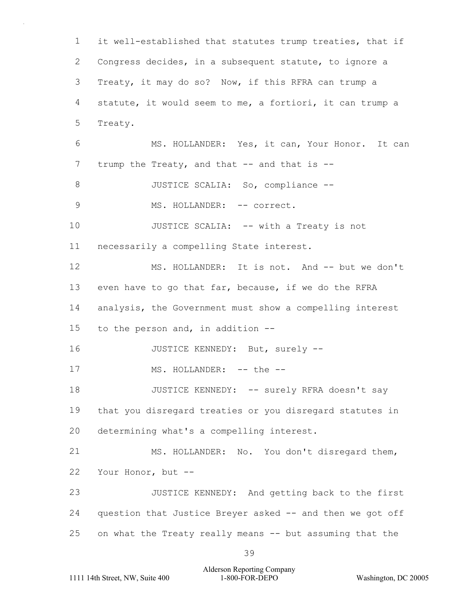1 it well-established that statutes trump treaties, that if 2 Congress decides, in a subsequent statute, to ignore a 3 Treaty, it may do so? Now, if this RFRA can trump a 4 statute, it would seem to me, a fortiori, it can trump a 5 Treaty. 6 MS. HOLLANDER: Yes, it can, Your Honor. It can 7 trump the Treaty, and that -- and that is --8 JUSTICE SCALIA: So, compliance --9 MS. HOLLANDER: -- correct. 10 JUSTICE SCALIA: -- with a Treaty is not 11 necessarily a compelling State interest. 12 MS. HOLLANDER: It is not. And -- but we don't 13 even have to go that far, because, if we do the RFRA 14 analysis, the Government must show a compelling interest 15 to the person and, in addition -- 16 JUSTICE KENNEDY: But, surely --17 MS. HOLLANDER: -- the --18 JUSTICE KENNEDY: -- surely RFRA doesn't say 19 that you disregard treaties or you disregard statutes in 20 determining what's a compelling interest. 21 MS. HOLLANDER: No. You don't disregard them, 22 Your Honor, but -- 23 JUSTICE KENNEDY: And getting back to the first 24 question that Justice Breyer asked -- and then we got off 25 on what the Treaty really means -- but assuming that the

1111 14th Street, NW, Suite 400 1-800-FOR-DEPO Washington, DC 20005 Alderson Reporting Company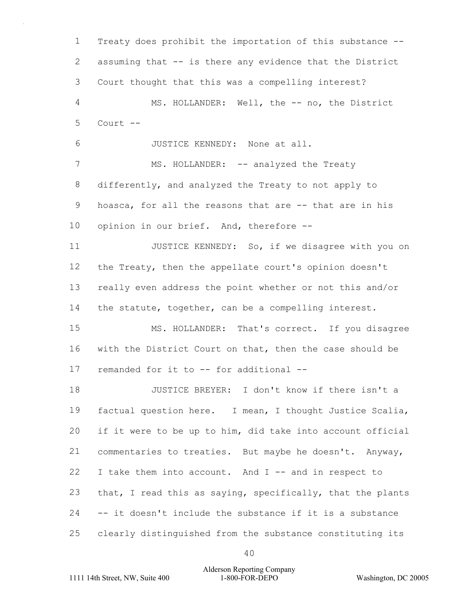Treaty does prohibit the importation of this substance -- assuming that -- is there any evidence that the District Court thought that this was a compelling interest? 4 MS. HOLLANDER: Well, the -- no, the District Court -- 6 JUSTICE KENNEDY: None at all. 7 MS. HOLLANDER: -- analyzed the Treaty differently, and analyzed the Treaty to not apply to hoasca, for all the reasons that are -- that are in his opinion in our brief. And, therefore -- 11 JUSTICE KENNEDY: So, if we disagree with you on the Treaty, then the appellate court's opinion doesn't really even address the point whether or not this and/or 14 the statute, together, can be a compelling interest. 15 MS. HOLLANDER: That's correct. If you disagree with the District Court on that, then the case should be remanded for it to -- for additional -- 18 JUSTICE BREYER: I don't know if there isn't a factual question here. I mean, I thought Justice Scalia, if it were to be up to him, did take into account official commentaries to treaties. But maybe he doesn't. Anyway, I take them into account. And I -- and in respect to that, I read this as saying, specifically, that the plants -- it doesn't include the substance if it is a substance clearly distinguished from the substance constituting its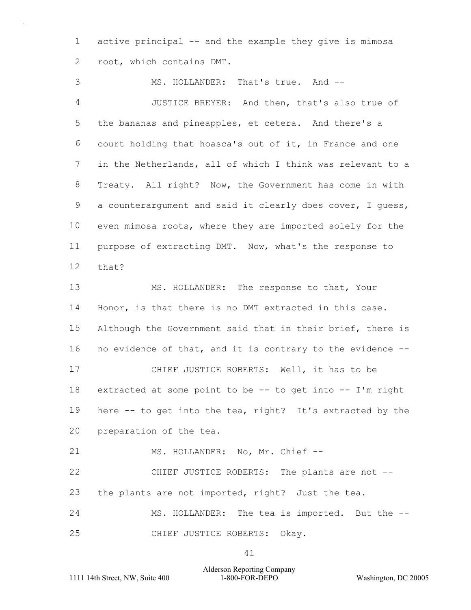active principal -- and the example they give is mimosa root, which contains DMT.

3 MS. HOLLANDER: That's true. And -- 4 JUSTICE BREYER: And then, that's also true of the bananas and pineapples, et cetera. And there's a court holding that hoasca's out of it, in France and one in the Netherlands, all of which I think was relevant to a Treaty. All right? Now, the Government has come in with a counterargument and said it clearly does cover, I guess, even mimosa roots, where they are imported solely for the purpose of extracting DMT. Now, what's the response to that? 13 MS. HOLLANDER: The response to that, Your Honor, is that there is no DMT extracted in this case. 15 Although the Government said that in their brief, there is no evidence of that, and it is contrary to the evidence -- 17 CHIEF JUSTICE ROBERTS: Well, it has to be extracted at some point to be -- to get into -- I'm right here -- to get into the tea, right? It's extracted by the preparation of the tea. 21 MS. HOLLANDER: No, Mr. Chief --22 CHIEF JUSTICE ROBERTS: The plants are not -- the plants are not imported, right? Just the tea. 24 MS. HOLLANDER: The tea is imported. But the --

25 CHIEF JUSTICE ROBERTS: Okay.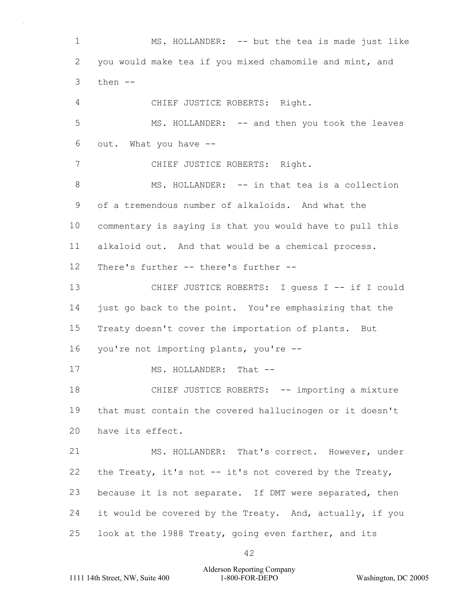1 MS. HOLLANDER: -- but the tea is made just like 2 you would make tea if you mixed chamomile and mint, and  $3$  then  $-$ 4 CHIEF JUSTICE ROBERTS: Right. 5 MS. HOLLANDER: -- and then you took the leaves 6 out. What you have -- 7 CHIEF JUSTICE ROBERTS: Right. 8 MS. HOLLANDER: -- in that tea is a collection 9 of a tremendous number of alkaloids. And what the 10 commentary is saying is that you would have to pull this 11 alkaloid out. And that would be a chemical process. 12 There's further -- there's further -- 13 CHIEF JUSTICE ROBERTS: I guess I -- if I could 14 just go back to the point. You're emphasizing that the 15 Treaty doesn't cover the importation of plants. But 16 you're not importing plants, you're -- 17 MS. HOLLANDER: That --18 CHIEF JUSTICE ROBERTS: -- importing a mixture 19 that must contain the covered hallucinogen or it doesn't 20 have its effect. 21 MS. HOLLANDER: That's correct. However, under 22 the Treaty, it's not -- it's not covered by the Treaty, 23 because it is not separate. If DMT were separated, then 24 it would be covered by the Treaty. And, actually, if you 25 look at the 1988 Treaty, going even farther, and its

1111 14th Street, NW, Suite 400 1-800-FOR-DEPO Washington, DC 20005 Alderson Reporting Company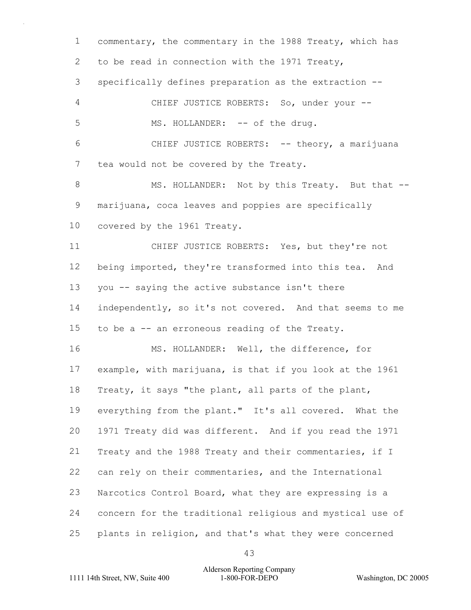commentary, the commentary in the 1988 Treaty, which has to be read in connection with the 1971 Treaty, specifically defines preparation as the extraction -- 4 CHIEF JUSTICE ROBERTS: So, under your -- 5 MS. HOLLANDER: -- of the drug. 6 CHIEF JUSTICE ROBERTS: -- theory, a marijuana tea would not be covered by the Treaty. 8 MS. HOLLANDER: Not by this Treaty. But that -- marijuana, coca leaves and poppies are specifically covered by the 1961 Treaty. 11 CHIEF JUSTICE ROBERTS: Yes, but they're not 12 being imported, they're transformed into this tea. And you -- saying the active substance isn't there independently, so it's not covered. And that seems to me to be a -- an erroneous reading of the Treaty. 16 MS. HOLLANDER: Well, the difference, for example, with marijuana, is that if you look at the 1961 Treaty, it says "the plant, all parts of the plant, everything from the plant." It's all covered. What the 1971 Treaty did was different. And if you read the 1971 Treaty and the 1988 Treaty and their commentaries, if I can rely on their commentaries, and the International Narcotics Control Board, what they are expressing is a concern for the traditional religious and mystical use of plants in religion, and that's what they were concerned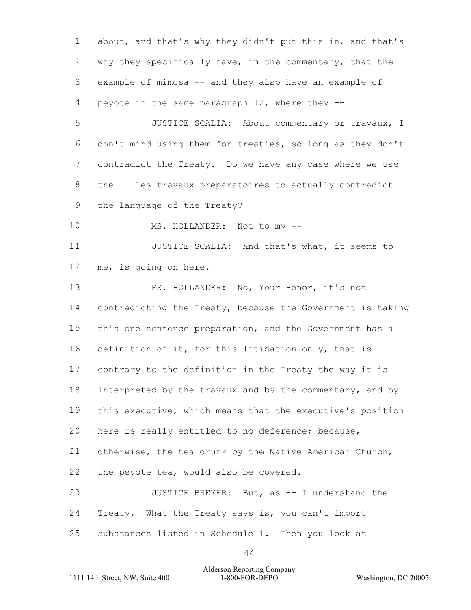about, and that's why they didn't put this in, and that's why they specifically have, in the commentary, that the example of mimosa -- and they also have an example of peyote in the same paragraph 12, where they -- 5 JUSTICE SCALIA: About commentary or travaux, I don't mind using them for treaties, so long as they don't contradict the Treaty. Do we have any case where we use the -- les travaux preparatoires to actually contradict the language of the Treaty? 10 MS. HOLLANDER: Not to my --11 JUSTICE SCALIA: And that's what, it seems to me, is going on here. 13 MS. HOLLANDER: No, Your Honor, it's not contradicting the Treaty, because the Government is taking this one sentence preparation, and the Government has a definition of it, for this litigation only, that is contrary to the definition in the Treaty the way it is 18 interpreted by the travaux and by the commentary, and by this executive, which means that the executive's position here is really entitled to no deference; because, otherwise, the tea drunk by the Native American Church, the peyote tea, would also be covered. 23 JUSTICE BREYER: But, as -- I understand the Treaty. What the Treaty says is, you can't import substances listed in Schedule 1. Then you look at

#### 1111 14th Street, NW, Suite 400 1-800-FOR-DEPO Washington, DC 20005 Alderson Reporting Company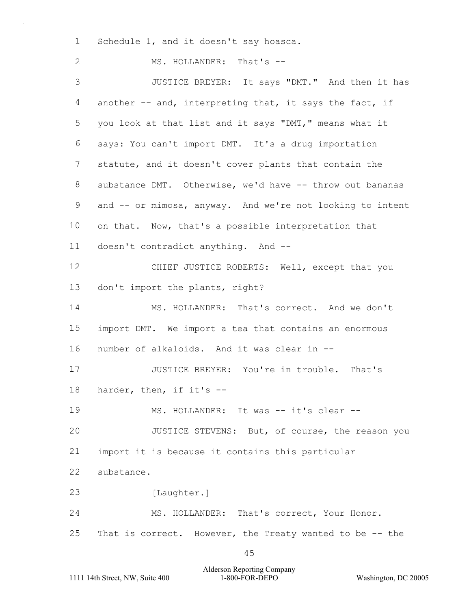1 Schedule 1, and it doesn't say hoasca.

2 MS. HOLLANDER: That's --3 JUSTICE BREYER: It says "DMT." And then it has another -- and, interpreting that, it says the fact, if you look at that list and it says "DMT," means what it says: You can't import DMT. It's a drug importation statute, and it doesn't cover plants that contain the substance DMT. Otherwise, we'd have -- throw out bananas and -- or mimosa, anyway. And we're not looking to intent on that. Now, that's a possible interpretation that doesn't contradict anything. And -- 12 CHIEF JUSTICE ROBERTS: Well, except that you don't import the plants, right? 14 MS. HOLLANDER: That's correct. And we don't import DMT. We import a tea that contains an enormous number of alkaloids. And it was clear in -- 17 JUSTICE BREYER: You're in trouble. That's harder, then, if it's -- 19 MS. HOLLANDER: It was -- it's clear -- 20 JUSTICE STEVENS: But, of course, the reason you import it is because it contains this particular substance. 23 [Laughter.] 24 MS. HOLLANDER: That's correct, Your Honor. That is correct. However, the Treaty wanted to be -- the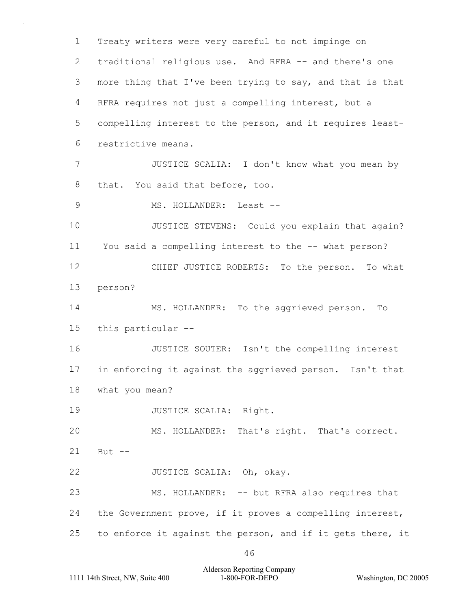1 Treaty writers were very careful to not impinge on 2 traditional religious use. And RFRA -- and there's one 3 more thing that I've been trying to say, and that is that 4 RFRA requires not just a compelling interest, but a 5 compelling interest to the person, and it requires least-6 restrictive means. 7 JUSTICE SCALIA: I don't know what you mean by 8 that. You said that before, too. 9 MS. HOLLANDER: Least --10 JUSTICE STEVENS: Could you explain that again? 11 You said a compelling interest to the -- what person? 12 CHIEF JUSTICE ROBERTS: To the person. To what 13 person? 14 MS. HOLLANDER: To the aggrieved person. To 15 this particular -- 16 JUSTICE SOUTER: Isn't the compelling interest 17 in enforcing it against the aggrieved person. Isn't that 18 what you mean? 19 JUSTICE SCALIA: Right. 20 MS. HOLLANDER: That's right. That's correct.  $21$  But  $-$ 22 JUSTICE SCALIA: Oh, okay. 23 MS. HOLLANDER: -- but RFRA also requires that 24 the Government prove, if it proves a compelling interest, 25 to enforce it against the person, and if it gets there, it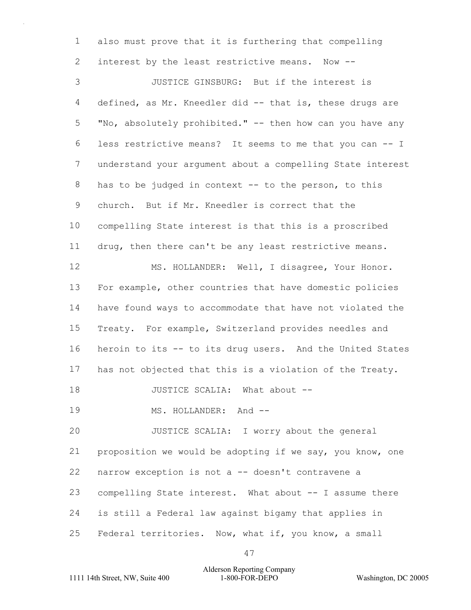also must prove that it is furthering that compelling interest by the least restrictive means. Now --

3 JUSTICE GINSBURG: But if the interest is defined, as Mr. Kneedler did -- that is, these drugs are "No, absolutely prohibited." -- then how can you have any less restrictive means? It seems to me that you can -- I understand your argument about a compelling State interest has to be judged in context -- to the person, to this church. But if Mr. Kneedler is correct that the compelling State interest is that this is a proscribed drug, then there can't be any least restrictive means. 12 MS. HOLLANDER: Well, I disagree, Your Honor. For example, other countries that have domestic policies have found ways to accommodate that have not violated the Treaty. For example, Switzerland provides needles and heroin to its -- to its drug users. And the United States has not objected that this is a violation of the Treaty. 18 JUSTICE SCALIA: What about --19 MS. HOLLANDER: And --20 JUSTICE SCALIA: I worry about the general proposition we would be adopting if we say, you know, one narrow exception is not a -- doesn't contravene a

compelling State interest. What about -- I assume there

is still a Federal law against bigamy that applies in

25 Federal territories. Now, what if, you know, a small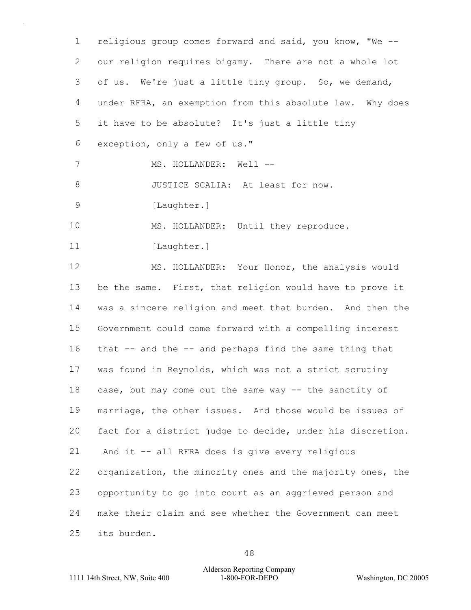religious group comes forward and said, you know, "We -- our religion requires bigamy. There are not a whole lot of us. We're just a little tiny group. So, we demand, under RFRA, an exemption from this absolute law. Why does it have to be absolute? It's just a little tiny exception, only a few of us." 7 MS. HOLLANDER: Well --8 JUSTICE SCALIA: At least for now. 9 [Laughter.] 10 MS. HOLLANDER: Until they reproduce. 11 [Laughter.] 12 MS. HOLLANDER: Your Honor, the analysis would be the same. First, that religion would have to prove it was a sincere religion and meet that burden. And then the Government could come forward with a compelling interest that -- and the -- and perhaps find the same thing that was found in Reynolds, which was not a strict scrutiny case, but may come out the same way -- the sanctity of marriage, the other issues. And those would be issues of fact for a district judge to decide, under his discretion. 21 And it -- all RFRA does is give every religious organization, the minority ones and the majority ones, the opportunity to go into court as an aggrieved person and make their claim and see whether the Government can meet its burden.

# 1111 14th Street, NW, Suite 400 1-800-FOR-DEPO Washington, DC 20005 Alderson Reporting Company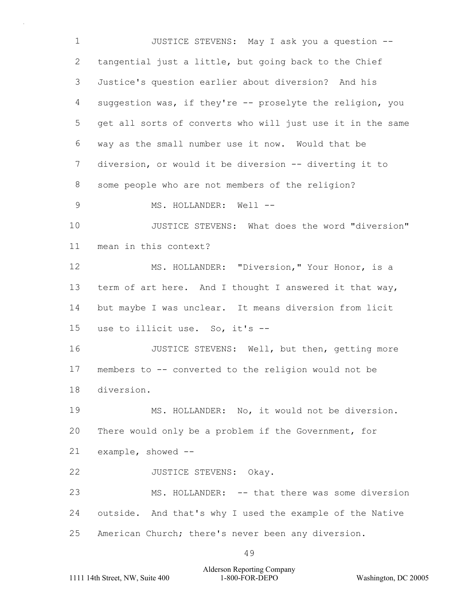1 JUSTICE STEVENS: May I ask you a question -- tangential just a little, but going back to the Chief Justice's question earlier about diversion? And his suggestion was, if they're -- proselyte the religion, you get all sorts of converts who will just use it in the same way as the small number use it now. Would that be diversion, or would it be diversion -- diverting it to some people who are not members of the religion? 9 MS. HOLLANDER: Well --10 JUSTICE STEVENS: What does the word "diversion" mean in this context? 12 MS. HOLLANDER: "Diversion," Your Honor, is a 13 term of art here. And I thought I answered it that way, but maybe I was unclear. It means diversion from licit use to illicit use. So, it's -- 16 JUSTICE STEVENS: Well, but then, getting more members to -- converted to the religion would not be diversion. 19 MS. HOLLANDER: No, it would not be diversion. There would only be a problem if the Government, for example, showed -- 22 JUSTICE STEVENS: Okay. 23 MS. HOLLANDER: -- that there was some diversion outside. And that's why I used the example of the Native American Church; there's never been any diversion.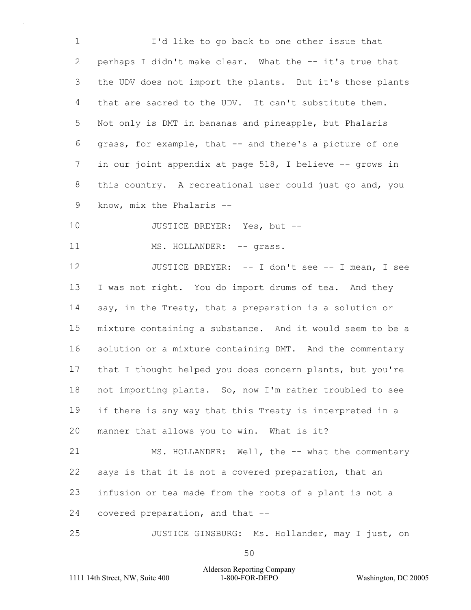1 I'd like to go back to one other issue that perhaps I didn't make clear. What the -- it's true that the UDV does not import the plants. But it's those plants that are sacred to the UDV. It can't substitute them. Not only is DMT in bananas and pineapple, but Phalaris grass, for example, that -- and there's a picture of one 7 in our joint appendix at page 518, I believe -- grows in this country. A recreational user could just go and, you know, mix the Phalaris --

10 JUSTICE BREYER: Yes, but --

11 MS. HOLLANDER: -- grass.

12 JUSTICE BREYER: -- I don't see -- I mean, I see I was not right. You do import drums of tea. And they say, in the Treaty, that a preparation is a solution or mixture containing a substance. And it would seem to be a solution or a mixture containing DMT. And the commentary that I thought helped you does concern plants, but you're not importing plants. So, now I'm rather troubled to see if there is any way that this Treaty is interpreted in a manner that allows you to win. What is it?

21 MS. HOLLANDER: Well, the -- what the commentary says is that it is not a covered preparation, that an infusion or tea made from the roots of a plant is not a covered preparation, and that --

25 JUSTICE GINSBURG: Ms. Hollander, may I just, on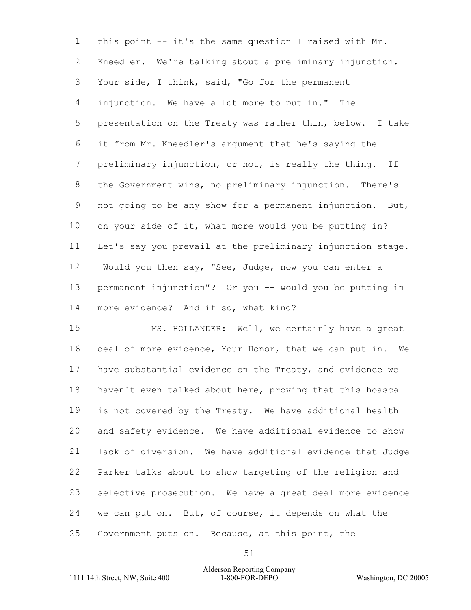this point -- it's the same question I raised with Mr. Kneedler. We're talking about a preliminary injunction. Your side, I think, said, "Go for the permanent injunction. We have a lot more to put in." The presentation on the Treaty was rather thin, below. I take it from Mr. Kneedler's argument that he's saying the preliminary injunction, or not, is really the thing. If the Government wins, no preliminary injunction. There's not going to be any show for a permanent injunction. But, on your side of it, what more would you be putting in? Let's say you prevail at the preliminary injunction stage. 12 Would you then say, "See, Judge, now you can enter a permanent injunction"? Or you -- would you be putting in more evidence? And if so, what kind?

15 MS. HOLLANDER: Well, we certainly have a great deal of more evidence, Your Honor, that we can put in. We have substantial evidence on the Treaty, and evidence we haven't even talked about here, proving that this hoasca is not covered by the Treaty. We have additional health and safety evidence. We have additional evidence to show lack of diversion. We have additional evidence that Judge Parker talks about to show targeting of the religion and selective prosecution. We have a great deal more evidence 24 we can put on. But, of course, it depends on what the Government puts on. Because, at this point, the

# 1111 14th Street, NW, Suite 400 1-800-FOR-DEPO Washington, DC 20005 Alderson Reporting Company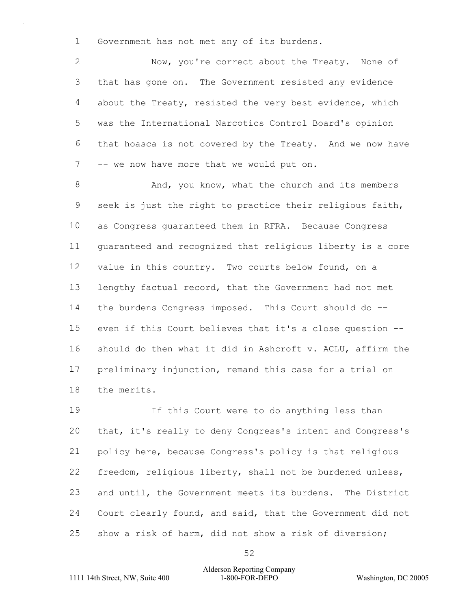Government has not met any of its burdens.

2 Now, you're correct about the Treaty. None of that has gone on. The Government resisted any evidence about the Treaty, resisted the very best evidence, which was the International Narcotics Control Board's opinion that hoasca is not covered by the Treaty. And we now have 7 -- we now have more that we would put on.

8 And, you know, what the church and its members seek is just the right to practice their religious faith, as Congress guaranteed them in RFRA. Because Congress guaranteed and recognized that religious liberty is a core value in this country. Two courts below found, on a lengthy factual record, that the Government had not met the burdens Congress imposed. This Court should do -- even if this Court believes that it's a close question -- should do then what it did in Ashcroft v. ACLU, affirm the preliminary injunction, remand this case for a trial on the merits.

19 If this Court were to do anything less than that, it's really to deny Congress's intent and Congress's policy here, because Congress's policy is that religious freedom, religious liberty, shall not be burdened unless, and until, the Government meets its burdens. The District Court clearly found, and said, that the Government did not show a risk of harm, did not show a risk of diversion;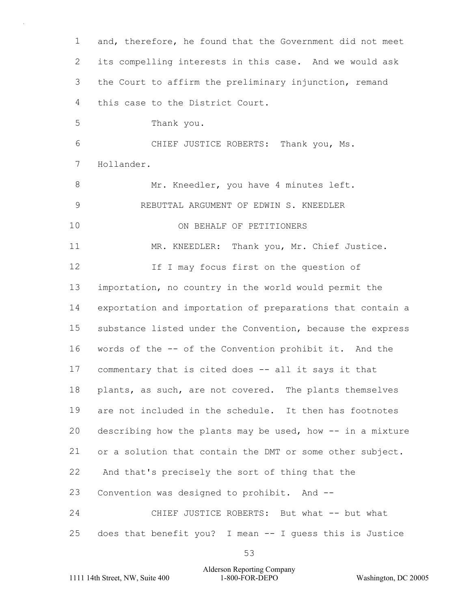and, therefore, he found that the Government did not meet its compelling interests in this case. And we would ask the Court to affirm the preliminary injunction, remand this case to the District Court. 5 Thank you. 6 CHIEF JUSTICE ROBERTS: Thank you, Ms. Hollander. 8 Mr. Kneedler, you have 4 minutes left. 9 REBUTTAL ARGUMENT OF EDWIN S. KNEEDLER 10 ON BEHALF OF PETITIONERS 11 MR. KNEEDLER: Thank you, Mr. Chief Justice. **If I may focus first on the question of**  importation, no country in the world would permit the exportation and importation of preparations that contain a substance listed under the Convention, because the express words of the -- of the Convention prohibit it. And the commentary that is cited does -- all it says it that 18 plants, as such, are not covered. The plants themselves are not included in the schedule. It then has footnotes describing how the plants may be used, how -- in a mixture or a solution that contain the DMT or some other subject. 22 And that's precisely the sort of thing that the Convention was designed to prohibit. And -- 24 CHIEF JUSTICE ROBERTS: But what -- but what does that benefit you? I mean -- I guess this is Justice

Alderson Reporting Company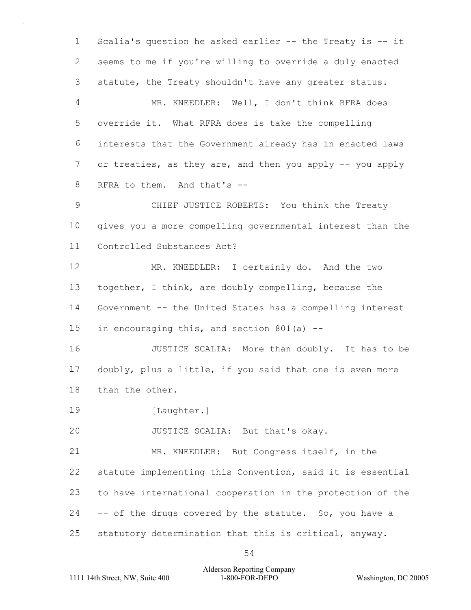Scalia's question he asked earlier -- the Treaty is -- it seems to me if you're willing to override a duly enacted statute, the Treaty shouldn't have any greater status. 4 MR. KNEEDLER: Well, I don't think RFRA does override it. What RFRA does is take the compelling interests that the Government already has in enacted laws or treaties, as they are, and then you apply -- you apply RFRA to them. And that's -- 9 CHIEF JUSTICE ROBERTS: You think the Treaty gives you a more compelling governmental interest than the Controlled Substances Act? 12 MR. KNEEDLER: I certainly do. And the two together, I think, are doubly compelling, because the Government -- the United States has a compelling interest in encouraging this, and section 801(a) -- 16 JUSTICE SCALIA: More than doubly. It has to be doubly, plus a little, if you said that one is even more than the other. 19 [Laughter.] 20 JUSTICE SCALIA: But that's okay. 21 MR. KNEEDLER: But Congress itself, in the statute implementing this Convention, said it is essential to have international cooperation in the protection of the -- of the drugs covered by the statute. So, you have a statutory determination that this is critical, anyway.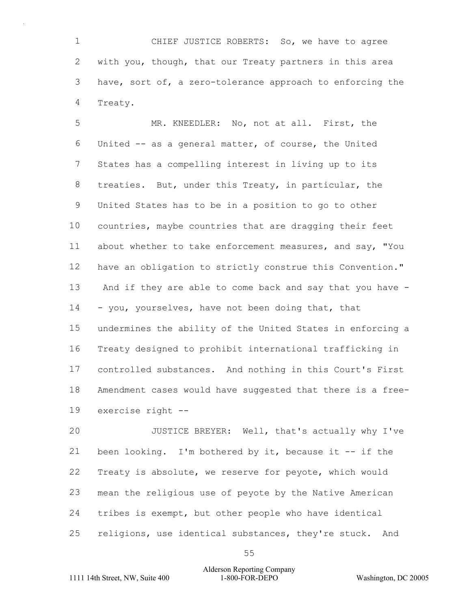1 CHIEF JUSTICE ROBERTS: So, we have to agree with you, though, that our Treaty partners in this area have, sort of, a zero-tolerance approach to enforcing the Treaty.

5 MR. KNEEDLER: No, not at all. First, the United -- as a general matter, of course, the United States has a compelling interest in living up to its treaties. But, under this Treaty, in particular, the United States has to be in a position to go to other countries, maybe countries that are dragging their feet about whether to take enforcement measures, and say, "You have an obligation to strictly construe this Convention." 13 And if they are able to come back and say that you have - 14 - you, yourselves, have not been doing that, that undermines the ability of the United States in enforcing a Treaty designed to prohibit international trafficking in controlled substances. And nothing in this Court's First Amendment cases would have suggested that there is a free-exercise right --

20 JUSTICE BREYER: Well, that's actually why I've been looking. I'm bothered by it, because it -- if the Treaty is absolute, we reserve for peyote, which would mean the religious use of peyote by the Native American tribes is exempt, but other people who have identical religions, use identical substances, they're stuck. And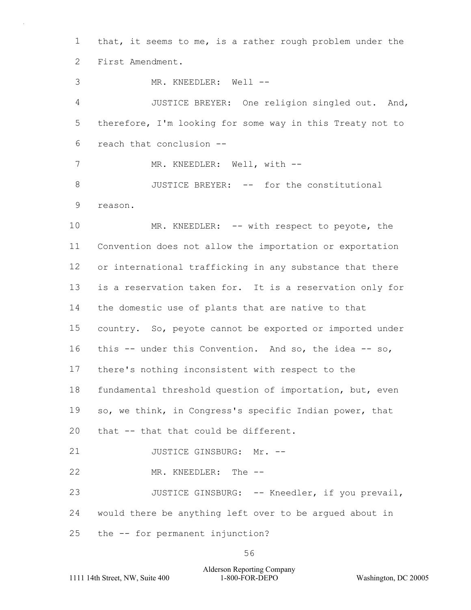that, it seems to me, is a rather rough problem under the First Amendment. 3 MR. KNEEDLER: Well --4 JUSTICE BREYER: One religion singled out. And, therefore, I'm looking for some way in this Treaty not to reach that conclusion -- 7 MR. KNEEDLER: Well, with --8 JUSTICE BREYER: -- for the constitutional reason. 10 MR. KNEEDLER: -- with respect to peyote, the Convention does not allow the importation or exportation or international trafficking in any substance that there

 is a reservation taken for. It is a reservation only for the domestic use of plants that are native to that country. So, peyote cannot be exported or imported under this -- under this Convention. And so, the idea -- so, there's nothing inconsistent with respect to the fundamental threshold question of importation, but, even so, we think, in Congress's specific Indian power, that

that -- that that could be different.

21 JUSTICE GINSBURG: Mr. --

22 MR. KNEEDLER: The --

23 JUSTICE GINSBURG: -- Kneedler, if you prevail, would there be anything left over to be argued about in the -- for permanent injunction?